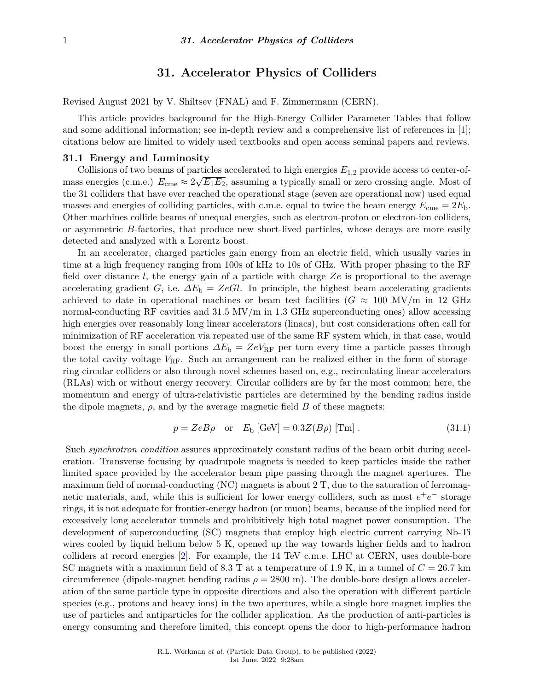# **31. Accelerator Physics of Colliders**

Revised August 2021 by V. Shiltsev (FNAL) and F. Zimmermann (CERN).

This article provides background for the High-Energy Collider Parameter Tables that follow and some additional information; see in-depth review and a comprehensive list of references in [\[1\]](#page-17-0); citations below are limited to widely used textbooks and open access seminal papers and reviews.

### **31.1 Energy and Luminosity**

Collisions of two beams of particles accelerated to high energies  $E_{1,2}$  provide access to center-ofmass energies (c.m.e.)  $E_{\text{cme}} \approx 2\sqrt{E_1 E_2}$ , assuming a typically small or zero crossing angle. Most of the 31 colliders that have ever reached the operational stage (seven are operational now) used equal masses and energies of colliding particles, with c.m.e. equal to twice the beam energy  $E_{\text{cme}} = 2E_{\text{b}}$ . Other machines collide beams of unequal energies, such as electron-proton or electron-ion colliders, or asymmetric *B*-factories, that produce new short-lived particles, whose decays are more easily detected and analyzed with a Lorentz boost.

In an accelerator, charged particles gain energy from an electric field, which usually varies in time at a high frequency ranging from 100s of kHz to 10s of GHz. With proper phasing to the RF field over distance *l*, the energy gain of a particle with charge *Ze* is proportional to the average accelerating gradient *G*, i.e.  $\Delta E_b = ZeGl$ . In principle, the highest beam accelerating gradients achieved to date in operational machines or beam test facilities ( $G \approx 100 \text{ MV/m}$  in 12 GHz normal-conducting RF cavities and 31.5 MV/m in 1.3 GHz superconducting ones) allow accessing high energies over reasonably long linear accelerators (linacs), but cost considerations often call for minimization of RF acceleration via repeated use of the same RF system which, in that case, would boost the energy in small portions *∆E*<sup>b</sup> = *ZeV*RF per turn every time a particle passes through the total cavity voltage  $V_{\rm RF}$ . Such an arrangement can be realized either in the form of storagering circular colliders or also through novel schemes based on, e.g., recirculating linear accelerators (RLAs) with or without energy recovery. Circular colliders are by far the most common; here, the momentum and energy of ultra-relativistic particles are determined by the bending radius inside the dipole magnets,  $\rho$ , and by the average magnetic field  $B$  of these magnets:

$$
p = ZeB\rho \quad \text{or} \quad E_{\text{b}} \left[ \text{GeV} \right] = 0.3Z(B\rho) \left[ \text{Tm} \right]. \tag{31.1}
$$

Such *synchrotron condition* assures approximately constant radius of the beam orbit during acceleration. Transverse focusing by quadrupole magnets is needed to keep particles inside the rather limited space provided by the accelerator beam pipe passing through the magnet apertures. The maximum field of normal-conducting (NC) magnets is about 2 T, due to the saturation of ferromagnetic materials, and, while this is sufficient for lower energy colliders, such as most  $e^+e^-$  storage rings, it is not adequate for frontier-energy hadron (or muon) beams, because of the implied need for excessively long accelerator tunnels and prohibitively high total magnet power consumption. The development of superconducting (SC) magnets that employ high electric current carrying Nb-Ti wires cooled by liquid helium below 5 K, opened up the way towards higher fields and to hadron colliders at record energies [\[2\]](#page-17-1). For example, the 14 TeV c.m.e. LHC at CERN, uses double-bore SC magnets with a maximum field of 8.3 T at a temperature of 1.9 K, in a tunnel of *C* = 26*.*7 km circumference (dipole-magnet bending radius  $\rho = 2800$  m). The double-bore design allows acceleration of the same particle type in opposite directions and also the operation with different particle species (e.g., protons and heavy ions) in the two apertures, while a single bore magnet implies the use of particles and antiparticles for the collider application. As the production of anti-particles is energy consuming and therefore limited, this concept opens the door to high-performance hadron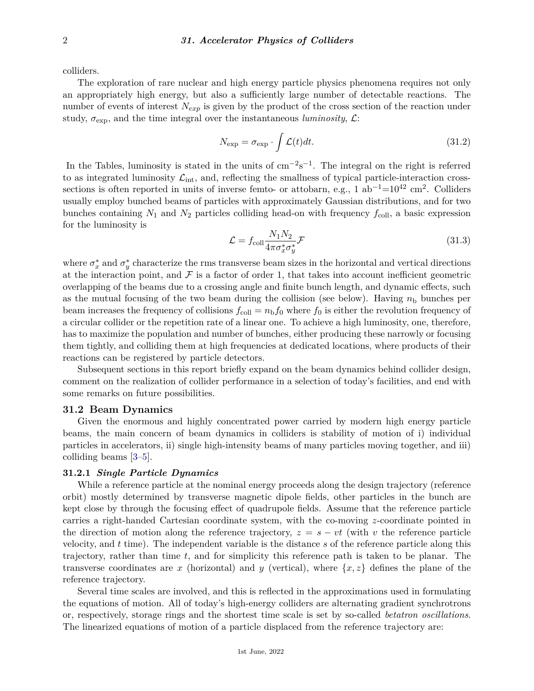colliders.

The exploration of rare nuclear and high energy particle physics phenomena requires not only an appropriately high energy, but also a sufficiently large number of detectable reactions. The number of events of interest *Nexp* is given by the product of the cross section of the reaction under study,  $\sigma_{\exp}$ , and the time integral over the instantaneous *luminosity*,  $\mathcal{L}$ :

$$
N_{\exp} = \sigma_{\exp} \cdot \int \mathcal{L}(t)dt.
$$
 (31.2)

In the Tables, luminosity is stated in the units of  $cm^{-2}s^{-1}$ . The integral on the right is referred to as integrated luminosity  $\mathcal{L}_{int}$ , and, reflecting the smallness of typical particle-interaction crosssections is often reported in units of inverse femto- or attobarn, e.g., 1 ab<sup>-1</sup>=10<sup>42</sup> cm<sup>2</sup>. Colliders usually employ bunched beams of particles with approximately Gaussian distributions, and for two bunches containing  $N_1$  and  $N_2$  particles colliding head-on with frequency  $f_{\text{coll}}$ , a basic expression for the luminosity is

$$
\mathcal{L} = f_{\text{coll}} \frac{N_1 N_2}{4 \pi \sigma_x^* \sigma_y^*} \mathcal{F}
$$
\n(31.3)

where  $\sigma_x^*$  and  $\sigma_y^*$  characterize the rms transverse beam sizes in the horizontal and vertical directions at the interaction point, and  $\mathcal F$  is a factor of order 1, that takes into account inefficient geometric overlapping of the beams due to a crossing angle and finite bunch length, and dynamic effects, such as the mutual focusing of the two beam during the collision (see below). Having  $n<sub>b</sub>$  bunches per beam increases the frequency of collisions  $f_{\text{coll}} = n_{\text{b}} f_0$  where  $f_0$  is either the revolution frequency of a circular collider or the repetition rate of a linear one. To achieve a high luminosity, one, therefore, has to maximize the population and number of bunches, either producing these narrowly or focusing them tightly, and colliding them at high frequencies at dedicated locations, where products of their reactions can be registered by particle detectors.

Subsequent sections in this report briefly expand on the beam dynamics behind collider design, comment on the realization of collider performance in a selection of today's facilities, and end with some remarks on future possibilities.

#### **31.2 Beam Dynamics**

Given the enormous and highly concentrated power carried by modern high energy particle beams, the main concern of beam dynamics in colliders is stability of motion of i) individual particles in accelerators, ii) single high-intensity beams of many particles moving together, and iii) colliding beams [\[3–](#page-17-2)[5\]](#page-17-3).

### **31.2.1** *Single Particle Dynamics*

While a reference particle at the nominal energy proceeds along the design trajectory (reference orbit) mostly determined by transverse magnetic dipole fields, other particles in the bunch are kept close by through the focusing effect of quadrupole fields. Assume that the reference particle carries a right-handed Cartesian coordinate system, with the co-moving *z*-coordinate pointed in the direction of motion along the reference trajectory,  $z = s - vt$  (with *v* the reference particle velocity, and *t* time). The independent variable is the distance *s* of the reference particle along this trajectory, rather than time *t*, and for simplicity this reference path is taken to be planar. The transverse coordinates are *x* (horizontal) and *y* (vertical), where  $\{x, z\}$  defines the plane of the reference trajectory.

Several time scales are involved, and this is reflected in the approximations used in formulating the equations of motion. All of today's high-energy colliders are alternating gradient synchrotrons or, respectively, storage rings and the shortest time scale is set by so-called *betatron oscillations*. The linearized equations of motion of a particle displaced from the reference trajectory are: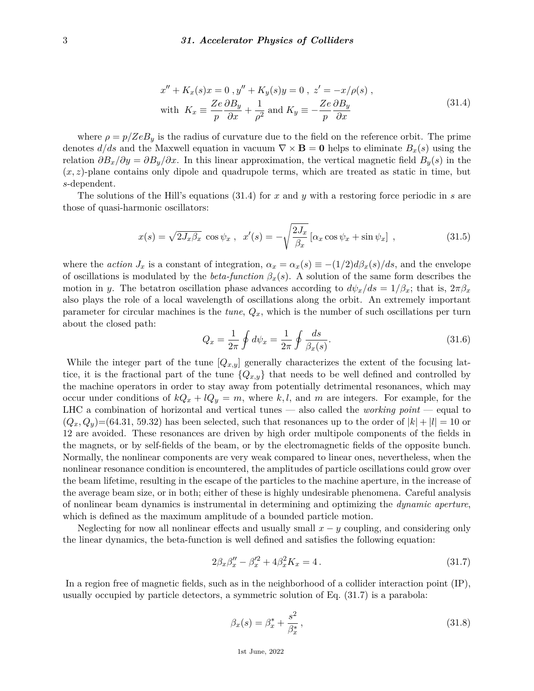$$
x'' + K_x(s)x = 0, y'' + K_y(s)y = 0, z' = -x/\rho(s),
$$
  
with  $K_x \equiv \frac{Ze}{p} \frac{\partial B_y}{\partial x} + \frac{1}{\rho^2}$  and  $K_y \equiv -\frac{Ze}{p} \frac{\partial B_y}{\partial x}$  (31.4)

where  $\rho = p/ZeB_y$  is the radius of curvature due to the field on the reference orbit. The prime denotes  $d/ds$  and the Maxwell equation in vacuum  $\nabla \times \mathbf{B} = \mathbf{0}$  helps to eliminate  $B_x(s)$  using the relation  $\partial B_x/\partial y = \partial B_y/\partial x$ . In this linear approximation, the vertical magnetic field  $B_y(s)$  in the  $(x, z)$ -plane contains only dipole and quadrupole terms, which are treated as static in time, but *s*-dependent.

The solutions of the Hill's equations (31.4) for *x* and *y* with a restoring force periodic in *s* are those of quasi-harmonic oscillators:

$$
x(s) = \sqrt{2J_x\beta_x} \cos\psi_x , \quad x'(s) = -\sqrt{\frac{2J_x}{\beta_x}} \left[ \alpha_x \cos\psi_x + \sin\psi_x \right] , \tag{31.5}
$$

where the *action*  $J_x$  is a constant of integration,  $\alpha_x = \alpha_x(s) \equiv -(1/2)d\beta_x(s)/ds$ , and the envelope of oscillations is modulated by the *beta-function*  $\beta_x(s)$ . A solution of the same form describes the motion in *y*. The betatron oscillation phase advances according to  $d\psi_x/ds = 1/\beta_x$ ; that is,  $2\pi\beta_x$ also plays the role of a local wavelength of oscillations along the orbit. An extremely important parameter for circular machines is the *tune*, *Qx*, which is the number of such oscillations per turn about the closed path:

$$
Q_x = \frac{1}{2\pi} \oint d\psi_x = \frac{1}{2\pi} \oint \frac{ds}{\beta_x(s)}.
$$
\n(31.6)

While the integer part of the tune  $[Q_{x,y}]$  generally characterizes the extent of the focusing lattice, it is the fractional part of the tune  ${Q_{x,y}}$  that needs to be well defined and controlled by the machine operators in order to stay away from potentially detrimental resonances, which may occur under conditions of  $kQ_x + lQ_y = m$ , where k, l, and m are integers. For example, for the LHC a combination of horizontal and vertical tunes — also called the *working point* — equal to  $(Q_x, Q_y)$ =(64.31, 59.32) has been selected, such that resonances up to the order of  $|k| + |l| = 10$  or 12 are avoided. These resonances are driven by high order multipole components of the fields in the magnets, or by self-fields of the beam, or by the electromagnetic fields of the opposite bunch. Normally, the nonlinear components are very weak compared to linear ones, nevertheless, when the nonlinear resonance condition is encountered, the amplitudes of particle oscillations could grow over the beam lifetime, resulting in the escape of the particles to the machine aperture, in the increase of the average beam size, or in both; either of these is highly undesirable phenomena. Careful analysis of nonlinear beam dynamics is instrumental in determining and optimizing the *dynamic aperture*, which is defined as the maximum amplitude of a bounded particle motion.

Neglecting for now all nonlinear effects and usually small *x* − *y* coupling, and considering only the linear dynamics, the beta-function is well defined and satisfies the following equation:

$$
2\beta_x \beta_x'' - \beta_x'^2 + 4\beta_x^2 K_x = 4. \tag{31.7}
$$

In a region free of magnetic fields, such as in the neighborhood of a collider interaction point (IP), usually occupied by particle detectors, a symmetric solution of Eq. (31.7) is a parabola:

$$
\beta_x(s) = \beta_x^* + \frac{s^2}{\beta_x^*},\tag{31.8}
$$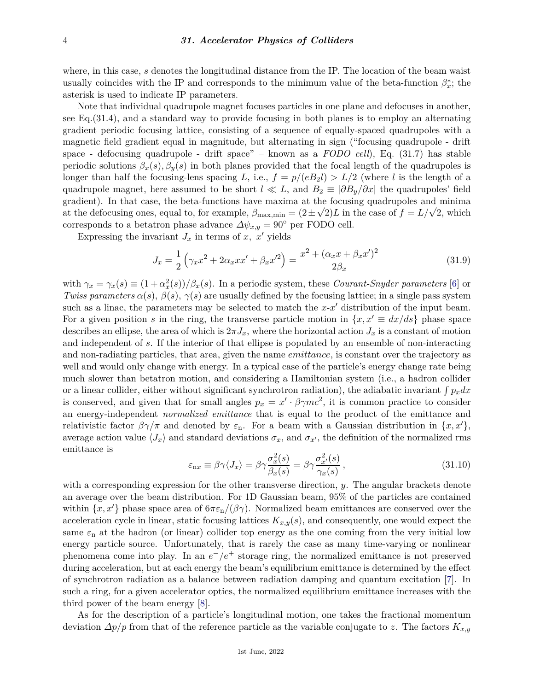#### 4 *31. Accelerator Physics of Colliders*

where, in this case, *s* denotes the longitudinal distance from the IP. The location of the beam waist usually coincides with the IP and corresponds to the minimum value of the beta-function  $\beta_x^*$ ; the asterisk is used to indicate IP parameters.

Note that individual quadrupole magnet focuses particles in one plane and defocuses in another, see Eq.(31.4), and a standard way to provide focusing in both planes is to employ an alternating gradient periodic focusing lattice, consisting of a sequence of equally-spaced quadrupoles with a magnetic field gradient equal in magnitude, but alternating in sign ("focusing quadrupole - drift space - defocusing quadrupole - drift space" – known as a *FODO cell*), Eq. (31.7) has stable periodic solutions  $\beta_x(s)$ ,  $\beta_y(s)$  in both planes provided that the focal length of the quadrupoles is longer than half the focusing-lens spacing *L*, i.e.,  $f = p/(eB_2l) > L/2$  (where *l* is the length of a quadrupole magnet, here assumed to be short  $l \ll L$ , and  $B_2 \equiv \partial B_u/\partial x$  the quadrupoles' field gradient). In that case, the beta-functions have maxima at the focusing quadrupoles and minima gradient). In that case, the beta-runctions have maxima at the locusing quadrupoles and minima<br>at the defocusing ones, equal to, for example,  $\beta_{\text{max,min}} = (2 \pm \sqrt{2})L$  in the case of  $f = L/\sqrt{2}$ , which corresponds to a betatron phase advance  $\Delta \psi_{x,y} = 90^{\circ}$  per FODO cell.

Expressing the invariant  $J_x$  in terms of  $x, x'$  yields

$$
J_x = \frac{1}{2} \left( \gamma_x x^2 + 2\alpha_x x x' + \beta_x x'^2 \right) = \frac{x^2 + (\alpha_x x + \beta_x x')^2}{2\beta_x} \tag{31.9}
$$

with  $\gamma_x = \gamma_x(s) \equiv (1 + \alpha_x^2(s))/\beta_x(s)$ . In a periodic system, these *Courant-Snyder parameters* [\[6\]](#page-17-4) or *Twiss parameters*  $\alpha(s)$ ,  $\beta(s)$ ,  $\gamma(s)$  are usually defined by the focusing lattice; in a single pass system such as a linac, the parameters may be selected to match the  $x-x'$  distribution of the input beam. For a given position *s* in the ring, the transverse particle motion in  $\{x, x' \equiv dx/ds\}$  phase space describes an ellipse, the area of which is  $2\pi J_x$ , where the horizontal action  $J_x$  is a constant of motion and independent of *s*. If the interior of that ellipse is populated by an ensemble of non-interacting and non-radiating particles, that area, given the name *emittance*, is constant over the trajectory as well and would only change with energy. In a typical case of the particle's energy change rate being much slower than betatron motion, and considering a Hamiltonian system (i.e., a hadron collider or a linear collider, either without significant synchrotron radiation), the adiabatic invariant  $\int p_x dx$ is conserved, and given that for small angles  $p_x = x' \cdot \beta \gamma mc^2$ , it is common practice to consider an energy-independent *normalized emittance* that is equal to the product of the emittance and relativistic factor  $\beta\gamma/\pi$  and denoted by  $\varepsilon_n$ . For a beam with a Gaussian distribution in  $\{x, x'\}$ , average action value  $\langle J_x \rangle$  and standard deviations  $\sigma_x$ , and  $\sigma_{x'}$ , the definition of the normalized rms emittance is

$$
\varepsilon_{\text{nx}} \equiv \beta \gamma \langle J_x \rangle = \beta \gamma \frac{\sigma_x^2(s)}{\beta_x(s)} = \beta \gamma \frac{\sigma_{x'}^2(s)}{\gamma_x(s)},\tag{31.10}
$$

with a corresponding expression for the other transverse direction, *y*. The angular brackets denote an average over the beam distribution. For 1D Gaussian beam, 95% of the particles are contained within  $\{x, x'\}$  phase space area of  $6\pi\varepsilon_n/(\beta\gamma)$ . Normalized beam emittances are conserved over the acceleration cycle in linear, static focusing lattices  $K_{x,y}(s)$ , and consequently, one would expect the same  $\varepsilon_n$  at the hadron (or linear) collider top energy as the one coming from the very initial low energy particle source. Unfortunately, that is rarely the case as many time-varying or nonlinear phenomena come into play. In an  $e^-/e^+$  storage ring, the normalized emittance is not preserved during acceleration, but at each energy the beam's equilibrium emittance is determined by the effect of synchrotron radiation as a balance between radiation damping and quantum excitation [\[7\]](#page-17-5). In such a ring, for a given accelerator optics, the normalized equilibrium emittance increases with the third power of the beam energy [\[8\]](#page-17-6).

As for the description of a particle's longitudinal motion, one takes the fractional momentum deviation *∆p/p* from that of the reference particle as the variable conjugate to *z*. The factors *Kx,y*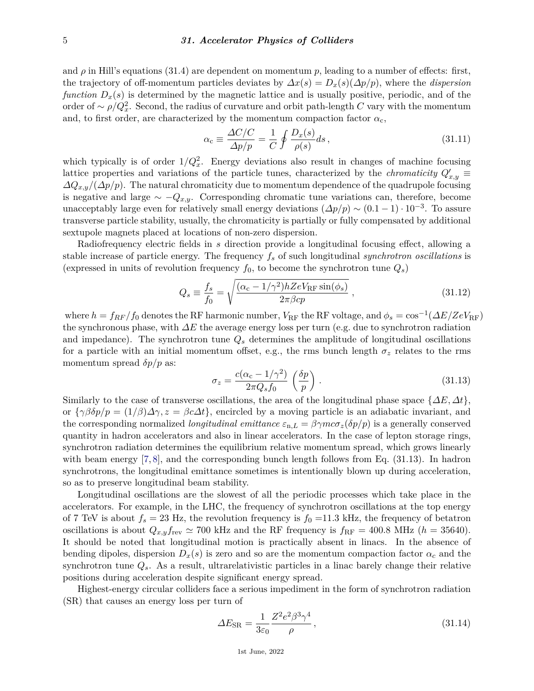and  $\rho$  in Hill's equations (31.4) are dependent on momentum  $p$ , leading to a number of effects: first, the trajectory of off-momentum particles deviates by  $\Delta x(s) = D_x(s)(\Delta p/p)$ , where the *dispersion function*  $D_x(s)$  is determined by the magnetic lattice and is usually positive, periodic, and of the order of  $\sim \rho/Q_x^2$ . Second, the radius of curvature and orbit path-length *C* vary with the momentum and, to first order, are characterized by the momentum compaction factor  $\alpha_c$ ,

$$
\alpha_{\rm c} \equiv \frac{\Delta C/C}{\Delta p/p} = \frac{1}{C} \oint \frac{D_x(s)}{\rho(s)} ds \,, \tag{31.11}
$$

which typically is of order  $1/Q_x^2$ . Energy deviations also result in changes of machine focusing lattice properties and variations of the particle tunes, characterized by the *chromaticity*  $Q'_{x,y}$ *∆Qx,y/*(*∆p/p*). The natural chromaticity due to momentum dependence of the quadrupole focusing is negative and large  $\sim -Q_{x,y}$ . Corresponding chromatic tune variations can, therefore, become unacceptably large even for relatively small energy deviations  $(\Delta p/p) \sim (0.1 - 1) \cdot 10^{-3}$ . To assure transverse particle stability, usually, the chromaticity is partially or fully compensated by additional sextupole magnets placed at locations of non-zero dispersion.

Radiofrequency electric fields in *s* direction provide a longitudinal focusing effect, allowing a stable increase of particle energy. The frequency *f<sup>s</sup>* of such longitudinal *synchrotron oscillations* is (expressed in units of revolution frequency  $f_0$ , to become the synchrotron tune  $Q_s$ )

$$
Q_s \equiv \frac{f_s}{f_0} = \sqrt{\frac{(\alpha_c - 1/\gamma^2) h Z e V_{\rm RF} \sin(\phi_s)}{2\pi \beta c p}}\,,\tag{31.12}
$$

where  $h = f_{RF}/f_0$  denotes the RF harmonic number,  $V_{RF}$  the RF voltage, and  $\phi_s = \cos^{-1}(\Delta E/ZeV_{RF})$ the synchronous phase, with *∆E* the average energy loss per turn (e.g. due to synchrotron radiation and impedance). The synchrotron tune  $Q_s$  determines the amplitude of longitudinal oscillations for a particle with an initial momentum offset, e.g., the rms bunch length  $\sigma_z$  relates to the rms momentum spread  $\delta p/p$  as:

$$
\sigma_z = \frac{c(\alpha_c - 1/\gamma^2)}{2\pi Q_s f_0} \left(\frac{\delta p}{p}\right). \tag{31.13}
$$

Similarly to the case of transverse oscillations, the area of the longitudinal phase space {*∆E, ∆t*}, or  $\{\gamma\beta\delta p/p = (1/\beta)\Delta\gamma, z = \beta c\Delta t\}$ , encircled by a moving particle is an adiabatic invariant, and the corresponding normalized *longitudinal emittance*  $\varepsilon_{n,L} = \beta \gamma mc \sigma_z(\delta p/p)$  is a generally conserved quantity in hadron accelerators and also in linear accelerators. In the case of lepton storage rings, synchrotron radiation determines the equilibrium relative momentum spread, which grows linearly with beam energy [\[7,](#page-17-5)[8\]](#page-17-6), and the corresponding bunch length follows from Eq. (31.13). In hadron synchrotrons, the longitudinal emittance sometimes is intentionally blown up during acceleration, so as to preserve longitudinal beam stability.

Longitudinal oscillations are the slowest of all the periodic processes which take place in the accelerators. For example, in the LHC, the frequency of synchrotron oscillations at the top energy of 7 TeV is about  $f_s = 23$  Hz, the revolution frequency is  $f_0 = 11.3$  kHz, the frequency of betatron oscillations is about  $Q_{x,y}f_{\text{rev}} \simeq 700$  kHz and the RF frequency is  $f_{\text{RF}} = 400.8$  MHz ( $h = 35640$ ). It should be noted that longitudinal motion is practically absent in linacs. In the absence of bending dipoles, dispersion  $D_x(s)$  is zero and so are the momentum compaction factor  $\alpha_c$  and the synchrotron tune *Qs*. As a result, ultrarelativistic particles in a linac barely change their relative positions during acceleration despite significant energy spread.

Highest-energy circular colliders face a serious impediment in the form of synchrotron radiation (SR) that causes an energy loss per turn of

$$
\Delta E_{\rm SR} = \frac{1}{3\varepsilon_0} \frac{Z^2 e^2 \beta^3 \gamma^4}{\rho} \,,\tag{31.14}
$$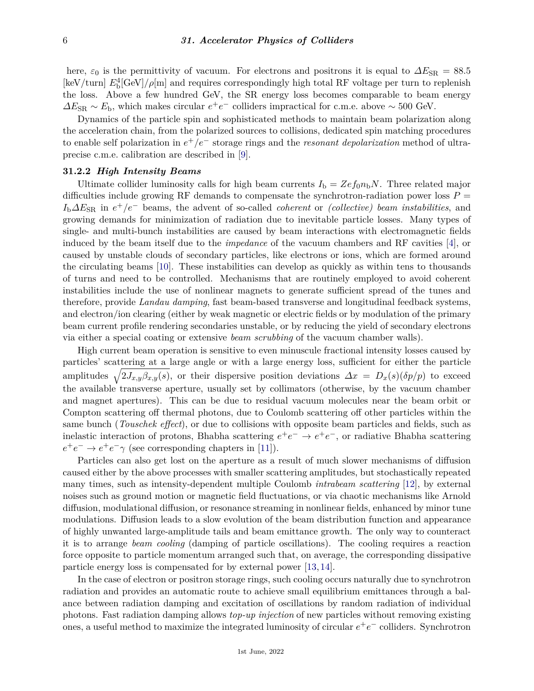here,  $\varepsilon_0$  is the permittivity of vacuum. For electrons and positrons it is equal to  $\Delta E_{\rm SR} = 88.5$ [keV/turn]  $E_b^4$ [GeV]/ $\rho$ [m] and requires correspondingly high total RF voltage per turn to replenish the loss. Above a few hundred GeV, the SR energy loss becomes comparable to beam energy  $\Delta E_{\rm SR} \sim E_{\rm b}$ , which makes circular  $e^+e^-$  colliders impractical for c.m.e. above ~ 500 GeV.

Dynamics of the particle spin and sophisticated methods to maintain beam polarization along the acceleration chain, from the polarized sources to collisions, dedicated spin matching procedures to enable self polarization in *e* <sup>+</sup>*/e*<sup>−</sup> storage rings and the *resonant depolarization* method of ultraprecise c.m.e. calibration are described in [\[9\]](#page-17-7).

## **31.2.2** *High Intensity Beams*

Ultimate collider luminosity calls for high beam currents  $I<sub>b</sub> = Zef<sub>0</sub>n<sub>b</sub>N$ . Three related major difficulties include growing RF demands to compensate the synchrotron-radiation power loss  $P =$ *I*<sub>b</sub> $\Delta E_{\text{SR}}$  in  $e^+/e^-$  beams, the advent of so-called *coherent* or *(collective) beam instabilities*, and growing demands for minimization of radiation due to inevitable particle losses. Many types of single- and multi-bunch instabilities are caused by beam interactions with electromagnetic fields induced by the beam itself due to the *impedance* of the vacuum chambers and RF cavities [\[4\]](#page-17-8), or caused by unstable clouds of secondary particles, like electrons or ions, which are formed around the circulating beams [\[10\]](#page-17-9). These instabilities can develop as quickly as within tens to thousands of turns and need to be controlled. Mechanisms that are routinely employed to avoid coherent instabilities include the use of nonlinear magnets to generate sufficient spread of the tunes and therefore, provide *Landau damping*, fast beam-based transverse and longitudinal feedback systems, and electron/ion clearing (either by weak magnetic or electric fields or by modulation of the primary beam current profile rendering secondaries unstable, or by reducing the yield of secondary electrons via either a special coating or extensive *beam scrubbing* of the vacuum chamber walls).

High current beam operation is sensitive to even minuscule fractional intensity losses caused by particles' scattering at a large angle or with a large energy loss, sufficient for either the particle amplitudes  $\sqrt{2J_{x,y}\beta_{x,y}(s)}$ , or their dispersive position deviations  $\Delta x = D_x(s)(\delta p/p)$  to exceed the available transverse aperture, usually set by collimators (otherwise, by the vacuum chamber and magnet apertures). This can be due to residual vacuum molecules near the beam orbit or Compton scattering off thermal photons, due to Coulomb scattering off other particles within the same bunch (*Touschek effect*), or due to collisions with opposite beam particles and fields, such as inelastic interaction of protons, Bhabha scattering  $e^+e^- \rightarrow e^+e^-$ , or radiative Bhabha scattering  $e^+e^- \rightarrow e^+e^- \gamma$  (see corresponding chapters in [\[11\]](#page-17-10)).

Particles can also get lost on the aperture as a result of much slower mechanisms of diffusion caused either by the above processes with smaller scattering amplitudes, but stochastically repeated many times, such as intensity-dependent multiple Coulomb *intrabeam scattering* [\[12\]](#page-17-11), by external noises such as ground motion or magnetic field fluctuations, or via chaotic mechanisms like Arnold diffusion, modulational diffusion, or resonance streaming in nonlinear fields, enhanced by minor tune modulations. Diffusion leads to a slow evolution of the beam distribution function and appearance of highly unwanted large-amplitude tails and beam emittance growth. The only way to counteract it is to arrange *beam cooling* (damping of particle oscillations). The cooling requires a reaction force opposite to particle momentum arranged such that, on average, the corresponding dissipative particle energy loss is compensated for by external power [\[13,](#page-17-12) [14\]](#page-17-13).

In the case of electron or positron storage rings, such cooling occurs naturally due to synchrotron radiation and provides an automatic route to achieve small equilibrium emittances through a balance between radiation damping and excitation of oscillations by random radiation of individual photons. Fast radiation damping allows *top-up injection* of new particles without removing existing ones, a useful method to maximize the integrated luminosity of circular  $e^+e^-$  colliders. Synchrotron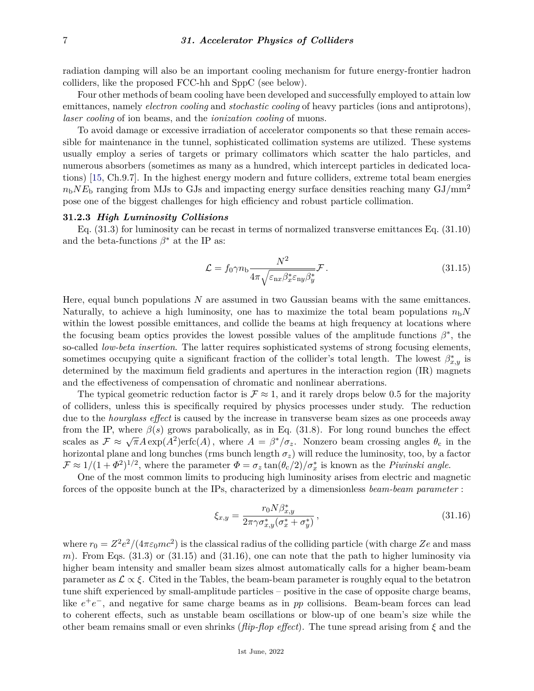radiation damping will also be an important cooling mechanism for future energy-frontier hadron colliders, like the proposed FCC-hh and SppC (see below).

Four other methods of beam cooling have been developed and successfully employed to attain low emittances, namely *electron cooling* and *stochastic cooling* of heavy particles (ions and antiprotons), *laser cooling* of ion beams, and the *ionization cooling* of muons.

To avoid damage or excessive irradiation of accelerator components so that these remain accessible for maintenance in the tunnel, sophisticated collimation systems are utilized. These systems usually employ a series of targets or primary collimators which scatter the halo particles, and numerous absorbers (sometimes as many as a hundred, which intercept particles in dedicated locations) [\[15,](#page-17-14) Ch.9.7]. In the highest energy modern and future colliders, extreme total beam energies  $n_bN E_b$  ranging from MJs to GJs and impacting energy surface densities reaching many GJ/mm<sup>2</sup> pose one of the biggest challenges for high efficiency and robust particle collimation.

### **31.2.3** *High Luminosity Collisions*

Eq. (31.3) for luminosity can be recast in terms of normalized transverse emittances Eq. (31.10) and the beta-functions  $\beta^*$  at the IP as:

$$
\mathcal{L} = f_0 \gamma n_\text{b} \frac{N^2}{4\pi \sqrt{\varepsilon_{\text{nx}} \beta_x^* \varepsilon_{\text{ny}} \beta_y^*}} \mathcal{F} \,. \tag{31.15}
$$

Here, equal bunch populations *N* are assumed in two Gaussian beams with the same emittances. Naturally, to achieve a high luminosity, one has to maximize the total beam populations  $n<sub>b</sub>N$ within the lowest possible emittances, and collide the beams at high frequency at locations where the focusing beam optics provides the lowest possible values of the amplitude functions  $\beta^*$ , the so-called *low-beta insertion*. The latter requires sophisticated systems of strong focusing elements, sometimes occupying quite a significant fraction of the collider's total length. The lowest  $\beta_{x,y}^*$  is determined by the maximum field gradients and apertures in the interaction region (IR) magnets and the effectiveness of compensation of chromatic and nonlinear aberrations.

The typical geometric reduction factor is  $\mathcal{F} \approx 1$ , and it rarely drops below 0.5 for the majority of colliders, unless this is specifically required by physics processes under study. The reduction due to the *hourglass effect* is caused by the increase in transverse beam sizes as one proceeds away from the IP, where  $\beta(s)$  grows parabolically, as in Eq. (31.8). For long round bunches the effect scales as  $\mathcal{F} \approx \sqrt{\pi}A\exp(A^2)\text{erfc}(A)$ , where  $A = \beta^*/\sigma_z$ . Nonzero beam crossing angles  $\theta_c$  in the horizontal plane and long bunches (rms bunch length  $\sigma_z$ ) will reduce the luminosity, too, by a factor  $\mathcal{F} \approx 1/(1+\Phi^2)^{1/2}$ , where the parameter  $\Phi = \sigma_z \tan(\theta_c/2)/\sigma_x^*$  is known as the *Piwinski angle*.

One of the most common limits to producing high luminosity arises from electric and magnetic forces of the opposite bunch at the IPs, characterized by a dimensionless *beam-beam parameter* :

$$
\xi_{x,y} = \frac{r_0 N \beta_{x,y}^*}{2\pi \gamma \sigma_{x,y}^* (\sigma_x^* + \sigma_y^*)},\tag{31.16}
$$

where  $r_0 = Z^2 e^2/(4\pi\varepsilon_0 mc^2)$  is the classical radius of the colliding particle (with charge  $Ze$  and mass *m*). From Eqs. (31.3) or (31.15) and (31.16), one can note that the path to higher luminosity via higher beam intensity and smaller beam sizes almost automatically calls for a higher beam-beam parameter as  $\mathcal{L} \propto \xi$ . Cited in the Tables, the beam-beam parameter is roughly equal to the betatron tune shift experienced by small-amplitude particles – positive in the case of opposite charge beams, like  $e^+e^-$ , and negative for same charge beams as in *pp* collisions. Beam-beam forces can lead to coherent effects, such as unstable beam oscillations or blow-up of one beam's size while the other beam remains small or even shrinks (*flip-flop effect*). The tune spread arising from *ξ* and the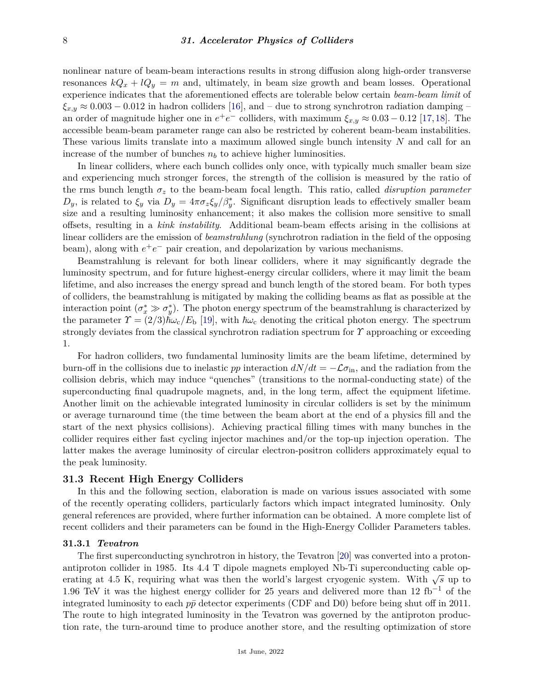nonlinear nature of beam-beam interactions results in strong diffusion along high-order transverse resonances  $kQ_x + lQ_y = m$  and, ultimately, in beam size growth and beam losses. Operational experience indicates that the aforementioned effects are tolerable below certain *beam-beam limit* of  $\xi_{x,y} \approx 0.003 - 0.012$  in hadron colliders [\[16\]](#page-17-15), and – due to strong synchrotron radiation damping – an order of magnitude higher one in  $e^+e^-$  colliders, with maximum  $\xi_{x,y} \approx 0.03 - 0.12$  [\[17,](#page-17-16)[18\]](#page-17-17). The accessible beam-beam parameter range can also be restricted by coherent beam-beam instabilities. These various limits translate into a maximum allowed single bunch intensity *N* and call for an increase of the number of bunches  $n_b$  to achieve higher luminosities.

In linear colliders, where each bunch collides only once, with typically much smaller beam size and experiencing much stronger forces, the strength of the collision is measured by the ratio of the rms bunch length *σ<sup>z</sup>* to the beam-beam focal length. This ratio, called *disruption parameter*  $D_y$ , is related to  $\xi_y$  via  $D_y = 4\pi \sigma_z \xi_y/\beta_y^*$ . Significant disruption leads to effectively smaller beam size and a resulting luminosity enhancement; it also makes the collision more sensitive to small offsets, resulting in a *kink instability*. Additional beam-beam effects arising in the collisions at linear colliders are the emission of *beamstrahlung* (synchrotron radiation in the field of the opposing beam), along with  $e^+e^-$  pair creation, and depolarization by various mechanisms.

Beamstrahlung is relevant for both linear colliders, where it may significantly degrade the luminosity spectrum, and for future highest-energy circular colliders, where it may limit the beam lifetime, and also increases the energy spread and bunch length of the stored beam. For both types of colliders, the beamstrahlung is mitigated by making the colliding beams as flat as possible at the interaction point  $(\sigma_x^* \gg \sigma_y^*)$ . The photon energy spectrum of the beamstrahlung is characterized by the parameter  $\gamma = (2/3)\hbar\omega_c/E_b$  [\[19\]](#page-17-18), with  $\hbar\omega_c$  denoting the critical photon energy. The spectrum strongly deviates from the classical synchrotron radiation spectrum for *Υ* approaching or exceeding 1.

For hadron colliders, two fundamental luminosity limits are the beam lifetime, determined by burn-off in the collisions due to inelastic *pp* interaction  $dN/dt = -\mathcal{L}\sigma_{\text{in}}$ , and the radiation from the collision debris, which may induce "quenches" (transitions to the normal-conducting state) of the superconducting final quadrupole magnets, and, in the long term, affect the equipment lifetime. Another limit on the achievable integrated luminosity in circular colliders is set by the minimum or average turnaround time (the time between the beam abort at the end of a physics fill and the start of the next physics collisions). Achieving practical filling times with many bunches in the collider requires either fast cycling injector machines and/or the top-up injection operation. The latter makes the average luminosity of circular electron-positron colliders approximately equal to the peak luminosity.

# **31.3 Recent High Energy Colliders**

In this and the following section, elaboration is made on various issues associated with some of the recently operating colliders, particularly factors which impact integrated luminosity. Only general references are provided, where further information can be obtained. A more complete list of recent colliders and their parameters can be found in the High-Energy Collider Parameters tables.

### **31.3.1** *Tevatron*

The first superconducting synchrotron in history, the Tevatron [\[20\]](#page-17-19) was converted into a protonantiproton collider in 1985. Its 4.4 T dipole magnets employed Nb-Ti superconducting cable operating at 4.5 K, requiring what was then the world's largest cryogenic system. With  $\sqrt{s}$  up to 1.96 TeV it was the highest energy collider for 25 years and delivered more than 12 fb<sup>-1</sup> of the integrated luminosity to each  $p\bar{p}$  detector experiments (CDF and D0) before being shut off in 2011. The route to high integrated luminosity in the Tevatron was governed by the antiproton production rate, the turn-around time to produce another store, and the resulting optimization of store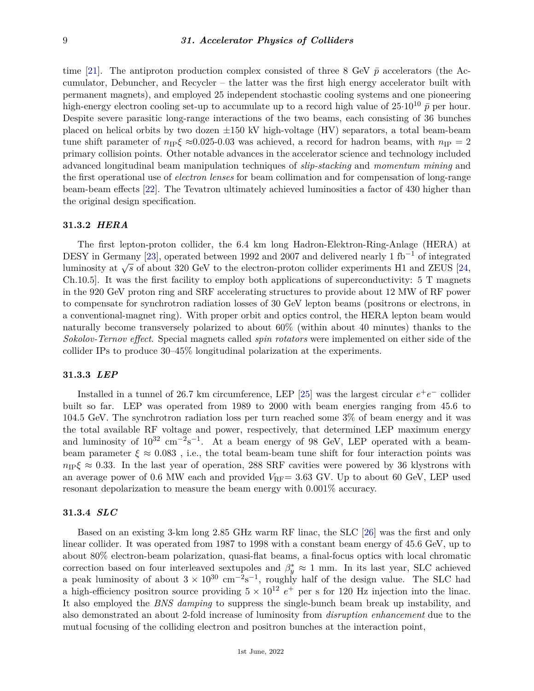time [\[21\]](#page-17-20). The antiproton production complex consisted of three 8 GeV  $\bar{p}$  accelerators (the Accumulator, Debuncher, and Recycler – the latter was the first high energy accelerator built with permanent magnets), and employed 25 independent stochastic cooling systems and one pioneering high-energy electron cooling set-up to accumulate up to a record high value of  $25 \cdot 10^{10} \bar{p}$  per hour. Despite severe parasitic long-range interactions of the two beams, each consisting of 36 bunches placed on helical orbits by two dozen  $\pm 150$  kV high-voltage (HV) separators, a total beam-beam tune shift parameter of  $n_{\text{IP}}\xi \approx 0.025$ -0.03 was achieved, a record for hadron beams, with  $n_{\text{IP}} = 2$ primary collision points. Other notable advances in the accelerator science and technology included advanced longitudinal beam manipulation techniques of *slip-stacking* and *momentum mining* and the first operational use of *electron lenses* for beam collimation and for compensation of long-range beam-beam effects [\[22\]](#page-17-21). The Tevatron ultimately achieved luminosities a factor of 430 higher than the original design specification.

# **31.3.2** *HERA*

The first lepton-proton collider, the 6.4 km long Hadron-Elektron-Ring-Anlage (HERA) at DESY in Germany [\[23\]](#page-17-22), operated between 1992 and 2007 and delivered nearly 1 fb<sup>-1</sup> of integrated luminosity at <sup>√</sup> *s* of about 320 GeV to the electron-proton collider experiments H1 and ZEUS [\[24,](#page-17-23) Ch.10.5]. It was the first facility to employ both applications of superconductivity: 5 T magnets in the 920 GeV proton ring and SRF accelerating structures to provide about 12 MW of RF power to compensate for synchrotron radiation losses of 30 GeV lepton beams (positrons or electrons, in a conventional-magnet ring). With proper orbit and optics control, the HERA lepton beam would naturally become transversely polarized to about 60% (within about 40 minutes) thanks to the *Sokolov-Ternov effect*. Special magnets called *spin rotators* were implemented on either side of the collider IPs to produce 30–45% longitudinal polarization at the experiments.

# **31.3.3** *LEP*

Installed in a tunnel of 26.7 km circumference, LEP [\[25\]](#page-17-24) was the largest circular  $e^+e^-$  collider built so far. LEP was operated from 1989 to 2000 with beam energies ranging from 45.6 to 104.5 GeV. The synchrotron radiation loss per turn reached some 3% of beam energy and it was the total available RF voltage and power, respectively, that determined LEP maximum energy and luminosity of  $10^{32}$  cm<sup>-2</sup>s<sup>-1</sup>. At a beam energy of 98 GeV, LEP operated with a beambeam parameter  $\xi \approx 0.083$ , i.e., the total beam-beam tune shift for four interaction points was  $n_{\text{IP}}\xi \approx 0.33$ . In the last year of operation, 288 SRF cavities were powered by 36 klystrons with an average power of 0.6 MW each and provided  $V_{RF}$  = 3.63 GV. Up to about 60 GeV, LEP used resonant depolarization to measure the beam energy with 0.001% accuracy.

# **31.3.4** *SLC*

Based on an existing 3-km long 2.85 GHz warm RF linac, the SLC [\[26\]](#page-17-25) was the first and only linear collider. It was operated from 1987 to 1998 with a constant beam energy of 45.6 GeV, up to about 80% electron-beam polarization, quasi-flat beams, a final-focus optics with local chromatic correction based on four interleaved sextupoles and  $\beta_y^* \approx 1$  mm. In its last year, SLC achieved a peak luminosity of about  $3 \times 10^{30}$  cm<sup>-2</sup>s<sup>-1</sup>, roughly half of the design value. The SLC had a high-efficiency positron source providing  $5 \times 10^{12} e^+$  per s for 120 Hz injection into the linac. It also employed the *BNS damping* to suppress the single-bunch beam break up instability, and also demonstrated an about 2-fold increase of luminosity from *disruption enhancement* due to the mutual focusing of the colliding electron and positron bunches at the interaction point,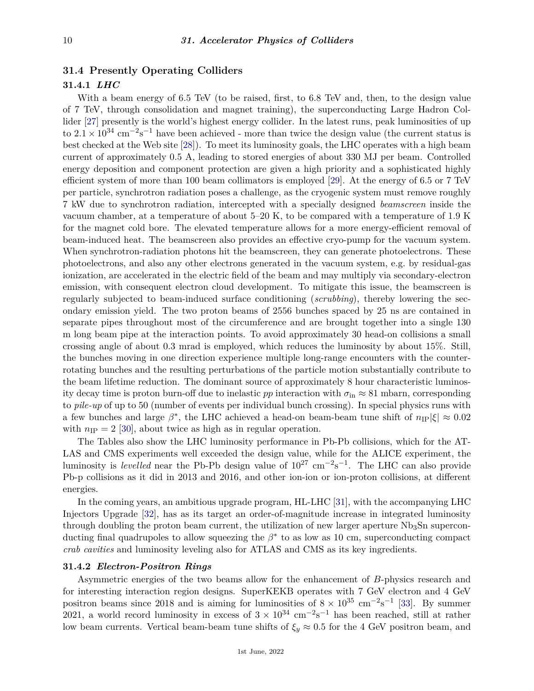# **31.4 Presently Operating Colliders**

# **31.4.1** *LHC*

With a beam energy of 6.5 TeV (to be raised, first, to 6.8 TeV and, then, to the design value of 7 TeV, through consolidation and magnet training), the superconducting Large Hadron Collider [\[27\]](#page-17-26) presently is the world's highest energy collider. In the latest runs, peak luminosities of up to  $2.1 \times 10^{34}$  cm<sup>-2</sup>s<sup>-1</sup> have been achieved - more than twice the design value (the current status is best checked at the Web site [\[28\]](#page-18-0)). To meet its luminosity goals, the LHC operates with a high beam current of approximately 0.5 A, leading to stored energies of about 330 MJ per beam. Controlled energy deposition and component protection are given a high priority and a sophisticated highly efficient system of more than 100 beam collimators is employed [\[29\]](#page-18-1). At the energy of 6.5 or 7 TeV per particle, synchrotron radiation poses a challenge, as the cryogenic system must remove roughly 7 kW due to synchrotron radiation, intercepted with a specially designed *beamscreen* inside the vacuum chamber, at a temperature of about 5–20 K, to be compared with a temperature of 1.9 K for the magnet cold bore. The elevated temperature allows for a more energy-efficient removal of beam-induced heat. The beamscreen also provides an effective cryo-pump for the vacuum system. When synchrotron-radiation photons hit the beamscreen, they can generate photoelectrons. These photoelectrons, and also any other electrons generated in the vacuum system, e.g. by residual-gas ionization, are accelerated in the electric field of the beam and may multiply via secondary-electron emission, with consequent electron cloud development. To mitigate this issue, the beamscreen is regularly subjected to beam-induced surface conditioning (*scrubbing*), thereby lowering the secondary emission yield. The two proton beams of 2556 bunches spaced by 25 ns are contained in separate pipes throughout most of the circumference and are brought together into a single 130 m long beam pipe at the interaction points. To avoid approximately 30 head-on collisions a small crossing angle of about 0.3 mrad is employed, which reduces the luminosity by about 15%. Still, the bunches moving in one direction experience multiple long-range encounters with the counterrotating bunches and the resulting perturbations of the particle motion substantially contribute to the beam lifetime reduction. The dominant source of approximately 8 hour characteristic luminosity decay time is proton burn-off due to inelastic *pp* interaction with  $\sigma_{\rm in} \approx 81$  mbarn, corresponding to *pile-up* of up to 50 (number of events per individual bunch crossing). In special physics runs with a few bunches and large  $\beta^*$ , the LHC achieved a head-on beam-beam tune shift of  $n_{\text{IP}}|\xi| \approx 0.02$ with  $n_{\text{IP}} = 2$  [\[30\]](#page-18-2), about twice as high as in regular operation.

The Tables also show the LHC luminosity performance in Pb-Pb collisions, which for the AT-LAS and CMS experiments well exceeded the design value, while for the ALICE experiment, the luminosity is *levelled* near the Pb-Pb design value of  $10^{27}$  cm<sup>-2</sup>s<sup>-1</sup>. The LHC can also provide Pb-p collisions as it did in 2013 and 2016, and other ion-ion or ion-proton collisions, at different energies.

In the coming years, an ambitious upgrade program, HL-LHC [\[31\]](#page-18-3), with the accompanying LHC Injectors Upgrade [\[32\]](#page-18-4), has as its target an order-of-magnitude increase in integrated luminosity through doubling the proton beam current, the utilization of new larger aperture  $Nb<sub>3</sub>Sn$  superconducting final quadrupoles to allow squeezing the  $\beta^*$  to as low as 10 cm, superconducting compact *crab cavities* and luminosity leveling also for ATLAS and CMS as its key ingredients.

# **31.4.2** *Electron-Positron Rings*

Asymmetric energies of the two beams allow for the enhancement of *B*-physics research and for interesting interaction region designs. SuperKEKB operates with 7 GeV electron and 4 GeV positron beams since 2018 and is aiming for luminosities of  $8 \times 10^{35}$  cm<sup>-2</sup>s<sup>-1</sup> [\[33\]](#page-18-5). By summer 2021, a world record luminosity in excess of  $3 \times 10^{34}$  cm<sup>-2</sup>s<sup>-1</sup> has been reached, still at rather low beam currents. Vertical beam-beam tune shifts of  $\xi_y \approx 0.5$  for the 4 GeV positron beam, and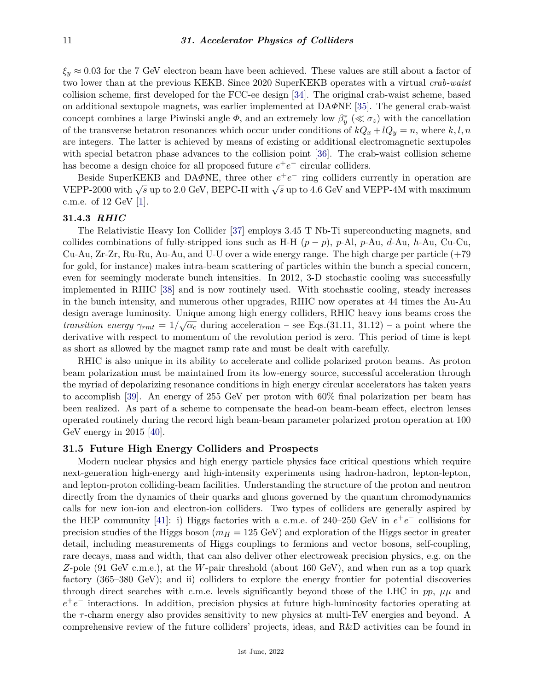$\xi_y \approx 0.03$  for the 7 GeV electron beam have been achieved. These values are still about a factor of two lower than at the previous KEKB. Since 2020 SuperKEKB operates with a virtual *crab-waist* collision scheme, first developed for the FCC-ee design [\[34\]](#page-18-6). The original crab-waist scheme, based on additional sextupole magnets, was earlier implemented at DA*Φ*NE [\[35\]](#page-18-7). The general crab-waist concept combines a large Piwinski angle  $\Phi$ , and an extremely low  $\beta_y^*$  ( $\ll \sigma_z$ ) with the cancellation of the transverse betatron resonances which occur under conditions of  $kQ_x + lQ_y = n$ , where  $k, l, n$ are integers. The latter is achieved by means of existing or additional electromagnetic sextupoles with special betatron phase advances to the collision point [\[36\]](#page-18-8). The crab-waist collision scheme has become a design choice for all proposed future  $e^+e^-$  circular colliders.

Beside SuperKEKB and DA $\Phi$ NE, three other  $e^+e^-$  ring colliders currently in operation are  $VEPP-2000$  with  $\sqrt{s}$  up to 2.0 GeV, BEPC-II with  $\sqrt{s}$  up to 4.6 GeV and VEPP-4M with maximum c.m.e. of 12 GeV [\[1\]](#page-17-0).

### **31.4.3** *RHIC*

The Relativistic Heavy Ion Collider [\[37\]](#page-18-9) employs 3.45 T Nb-Ti superconducting magnets, and collides combinations of fully-stripped ions such as H-H  $(p - p)$ , *p*-Al, *p*-Au, *d*-Au, *h*-Au, Cu-Cu, Cu-Au, Zr-Zr, Ru-Ru, Au-Au, and U-U over a wide energy range. The high charge per particle (+79 for gold, for instance) makes intra-beam scattering of particles within the bunch a special concern, even for seemingly moderate bunch intensities. In 2012, 3-D stochastic cooling was successfully implemented in RHIC [\[38\]](#page-18-10) and is now routinely used. With stochastic cooling, steady increases in the bunch intensity, and numerous other upgrades, RHIC now operates at 44 times the Au-Au design average luminosity. Unique among high energy colliders, RHIC heavy ions beams cross the *transition energy*  $\gamma_{rmt} = 1/\sqrt{\alpha_c}$  during acceleration – see Eqs.(31.11, 31.12) – a point where the derivative with respect to momentum of the revolution period is zero. This period of time is kept as short as allowed by the magnet ramp rate and must be dealt with carefully.

RHIC is also unique in its ability to accelerate and collide polarized proton beams. As proton beam polarization must be maintained from its low-energy source, successful acceleration through the myriad of depolarizing resonance conditions in high energy circular accelerators has taken years to accomplish [\[39\]](#page-18-11). An energy of 255 GeV per proton with 60% final polarization per beam has been realized. As part of a scheme to compensate the head-on beam-beam effect, electron lenses operated routinely during the record high beam-beam parameter polarized proton operation at 100 GeV energy in 2015 [\[40\]](#page-18-12).

## **31.5 Future High Energy Colliders and Prospects**

Modern nuclear physics and high energy particle physics face critical questions which require next-generation high-energy and high-intensity experiments using hadron-hadron, lepton-lepton, and lepton-proton colliding-beam facilities. Understanding the structure of the proton and neutron directly from the dynamics of their quarks and gluons governed by the quantum chromodynamics calls for new ion-ion and electron-ion colliders. Two types of colliders are generally aspired by the HEP community [\[41\]](#page-18-13): i) Higgs factories with a c.m.e. of 240–250 GeV in  $e^+e^-$  collisions for precision studies of the Higgs boson ( $m_H = 125$  GeV) and exploration of the Higgs sector in greater detail, including measurements of Higgs couplings to fermions and vector bosons, self-coupling, rare decays, mass and width, that can also deliver other electroweak precision physics, e.g. on the *Z*-pole (91 GeV c.m.e.), at the *W*-pair threshold (about 160 GeV), and when run as a top quark factory (365–380 GeV); and ii) colliders to explore the energy frontier for potential discoveries through direct searches with c.m.e. levels significantly beyond those of the LHC in  $pp$ ,  $\mu\mu$  and *e*<sup>+</sup>*e*<sup>−</sup> interactions. In addition, precision physics at future high-luminosity factories operating at the *τ* -charm energy also provides sensitivity to new physics at multi-TeV energies and beyond. A comprehensive review of the future colliders' projects, ideas, and R&D activities can be found in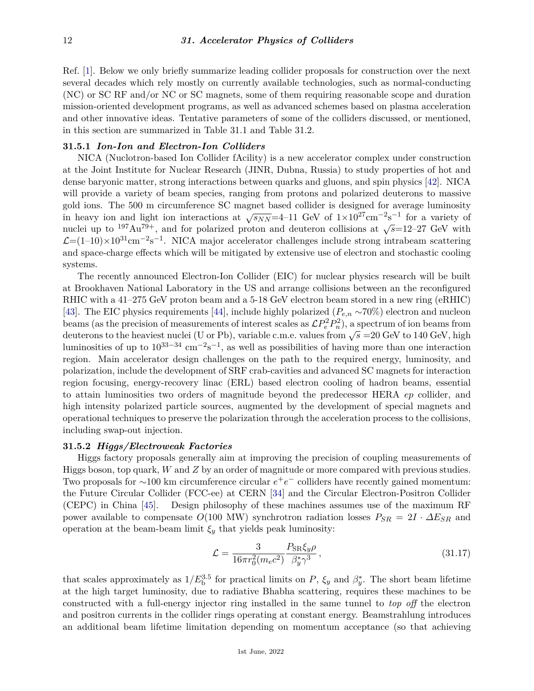Ref. [\[1\]](#page-17-0). Below we only briefly summarize leading collider proposals for construction over the next several decades which rely mostly on currently available technologies, such as normal-conducting (NC) or SC RF and/or NC or SC magnets, some of them requiring reasonable scope and duration mission-oriented development programs, as well as advanced schemes based on plasma acceleration and other innovative ideas. Tentative parameters of some of the colliders discussed, or mentioned, in this section are summarized in Table 31.1 and Table 31.2.

# **31.5.1** *Ion-Ion and Electron-Ion Colliders*

NICA (Nuclotron-based Ion Collider fAcility) is a new accelerator complex under construction at the Joint Institute for Nuclear Research (JINR, Dubna, Russia) to study properties of hot and dense baryonic matter, strong interactions between quarks and gluons, and spin physics [\[42\]](#page-18-14). NICA will provide a variety of beam species, ranging from protons and polarized deuterons to massive gold ions. The 500 m circumference SC magnet based collider is designed for average luminosity in heavy ion and light ion interactions at  $\sqrt{s_{NN}}$ =4–11 GeV of  $1\times10^{27}$ cm<sup>-2</sup>s<sup>-1</sup> for a variety of nuclei up to <sup>197</sup>Au<sup>79+</sup>, and for polarized proton and deuteron collisions at  $\sqrt{s}=12-27$  GeV with  $\mathcal{L}=(1-10)\times10^{31}$ cm<sup>-2</sup>s<sup>-1</sup>. NICA major accelerator challenges include strong intrabeam scattering and space-charge effects which will be mitigated by extensive use of electron and stochastic cooling systems.

The recently announced Electron-Ion Collider (EIC) for nuclear physics research will be built at Brookhaven National Laboratory in the US and arrange collisions between an the reconfigured RHIC with a 41–275 GeV proton beam and a 5-18 GeV electron beam stored in a new ring (eRHIC) [\[43\]](#page-18-15). The EIC physics requirements [\[44\]](#page-18-16), include highly polarized (*Pe,n* ∼70%) electron and nucleon beams (as the precision of measurements of interest scales as  $\mathcal{L}P_e^2P_n^2$ ), a spectrum of ion beams from beams (as the precision of measurements of merest scales as  $\mathcal{L}I_eI_n$ ), a spectrum of form beams from determining the deuterons to the heaviest nuclei (U or Pb), variable c.m.e. values from  $\sqrt{s}$  =20 GeV to 140 GeV, h luminosities of up to  $10^{33-34}$  cm<sup>-2</sup>s<sup>-1</sup>, as well as possibilities of having more than one interaction region. Main accelerator design challenges on the path to the required energy, luminosity, and polarization, include the development of SRF crab-cavities and advanced SC magnets for interaction region focusing, energy-recovery linac (ERL) based electron cooling of hadron beams, essential to attain luminosities two orders of magnitude beyond the predecessor HERA *ep* collider, and high intensity polarized particle sources, augmented by the development of special magnets and operational techniques to preserve the polarization through the acceleration process to the collisions, including swap-out injection.

### **31.5.2** *Higgs/Electroweak Factories*

Higgs factory proposals generally aim at improving the precision of coupling measurements of Higgs boson, top quark, *W* and *Z* by an order of magnitude or more compared with previous studies. Two proposals for ~100 km circumference circular  $e^+e^-$  colliders have recently gained momentum: the Future Circular Collider (FCC-ee) at CERN [\[34\]](#page-18-6) and the Circular Electron-Positron Collider (CEPC) in China [\[45\]](#page-18-17). Design philosophy of these machines assumes use of the maximum RF power available to compensate  $O(100 \text{ MW})$  synchrotron radiation losses  $P_{SR} = 2I \cdot \Delta E_{SR}$  and operation at the beam-beam limit  $\xi_y$  that yields peak luminosity:

$$
\mathcal{L} = \frac{3}{16\pi r_0^2 (m_e c^2)} \frac{P_{\text{SR}} \xi_y \rho}{\beta_y^* \gamma^3},\tag{31.17}
$$

that scales approximately as  $1/E_b^{3.5}$  for practical limits on *P*,  $\xi_y$  and  $\beta_y^*$ . The short beam lifetime at the high target luminosity, due to radiative Bhabha scattering, requires these machines to be constructed with a full-energy injector ring installed in the same tunnel to *top off* the electron and positron currents in the collider rings operating at constant energy. Beamstrahlung introduces an additional beam lifetime limitation depending on momentum acceptance (so that achieving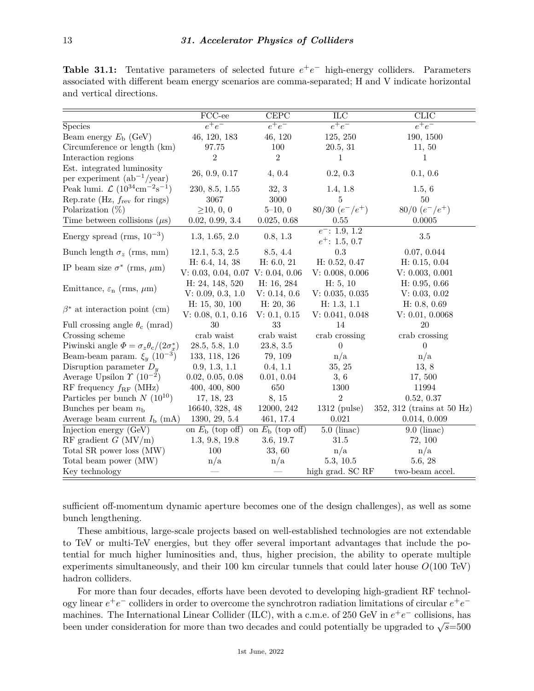|                                                                 | FCC-ee                   | <b>CEPC</b>              | ILC                                  | <b>CLIC</b>                |  |
|-----------------------------------------------------------------|--------------------------|--------------------------|--------------------------------------|----------------------------|--|
| Species                                                         | $\overline{e^+e^-}$      | $e^+e^-$                 | $e^+e^-$                             | $e^+e^-$                   |  |
| Beam energy $E_{\rm b}$ (GeV)                                   | 46, 120, 183             | 46, 120                  | 125, 250                             | 190, 1500                  |  |
| Circumference or length (km)                                    | 97.75                    | 100                      | 20.5, 31                             | 11, 50                     |  |
| Interaction regions                                             | $\overline{2}$           | $\overline{2}$           | 1                                    | 1                          |  |
| Est. integrated luminosity<br>per experiment $(ab^{-1}/year)$   | 26, 0.9, 0.17            | 4, 0.4                   | 0.2, 0.3                             | 0.1, 0.6                   |  |
| Peak lumi. $\mathcal{L} (10^{34} \text{cm}^{-2} \text{s}^{-1})$ | 230, 8.5, 1.55           | 32, 3                    | 1.4, 1.8                             | 1.5, 6                     |  |
| Rep.rate (Hz, $f_{\text{rev}}$ for rings)                       | 3067                     | $3000\,$                 | 5                                    | 50                         |  |
| Polarization $(\%)$                                             | $\geq 10, 0, 0$          | $5 - 10, 0$              | $80/30 (e^-/e^+)$                    | $80/0$ $(e^-/e^+)$         |  |
| Time between collisions $(\mu s)$                               | 0.02, 0.99, 3.4          | 0.025, 0.68              | 0.55                                 | 0.0005                     |  |
| Energy spread (rms, $10^{-3}$ )                                 | 1.3, 1.65, 2.0           | 0.8, 1.3                 | $e^-$ : 1.9, 1.2<br>$e^+$ : 1.5, 0.7 | $3.5\,$                    |  |
| Bunch length $\sigma_z$ (rms, mm)                               | 12.1, 5.3, 2.5           | 8.5, 4.4                 | 0.3                                  | 0.07, 0.044                |  |
| IP beam size $\sigma^*$ (rms, $\mu$ m)                          | H: 6.4, 14, 38           | H: 6.0, 21               | H: 0.52, 0.47                        | H: 0.15, 0.04              |  |
|                                                                 | V: 0.03, 0.04, 0.07      | V: 0.04, 0.06            | V: 0.008, 0.006                      | V: 0.003, 0.001            |  |
| Emittance, $\varepsilon_n$ (rms, $\mu$ m)                       | H: 24, 148, 520          | H: 16, 284               | H: 5, 10                             | H: 0.95, 0.66              |  |
|                                                                 | V: 0.09, 0.3, 1.0        | V: 0.14, 0.6             | V: 0.035, 0.035                      | V: 0.03, 0.02              |  |
| $\beta^*$ at interaction point (cm)                             | H: 15, 30, 100           | H: 20, 36                | H: 1.3, 1.1                          | H: 0.8, 0.69               |  |
|                                                                 | V: 0.08, 0.1, 0.16       | V: 0.1, 0.15             | V: 0.041, 0.048                      | V: 0.01, 0.0068            |  |
| Full crossing angle $\theta_c$ (mrad)                           | 30                       | 33                       | 14                                   | 20                         |  |
| Crossing scheme                                                 | crab waist               | crab waist               | crab crossing                        | crab crossing              |  |
| Piwinski angle $\Phi = \sigma_z \theta_c / (2 \sigma_x^*)$      | 28.5, 5.8, 1.0           | 23.8, 3.5                | $\theta$                             | $\Omega$                   |  |
| Beam-beam param. $\xi_y$ (10 <sup>-3</sup> )                    | 133, 118, 126            | 79, 109                  | n/a                                  | n/a                        |  |
| Disruption parameter $D_y$                                      | 0.9, 1.3, 1.1            | 0.4, 1.1                 | 35, 25                               | 13, 8                      |  |
| Average Upsilon $\Upsilon$ (10 <sup>-2</sup> )                  | 0.02, 0.05, 0.08         | 0.01, 0.04               | 3, 6                                 | 17,500                     |  |
| RF frequency $f_{\rm RF}$ (MHz)                                 | 400, 400, 800            | 650                      | 1300                                 | 11994                      |  |
| Particles per bunch $N(10^{10})$                                | 17, 18, 23               | 8, 15                    | $\overline{2}$                       | 0.52, 0.37                 |  |
| Bunches per beam $n_{\rm b}$                                    | 16640, 328, 48           | 12000, 242               | $1312$ (pulse)                       | 352, 312 (trains at 50 Hz) |  |
| Average beam current $I_{\rm b}$ (mA)                           | 1390, 29, 5.4            | 461, 17.4                | 0.021                                | 0.014, 0.009               |  |
| Injection energy (GeV)                                          | on $E_{\rm b}$ (top off) | on $E_{\rm b}$ (top off) | $5.0$ (linac)                        | $9.0$ (linac)              |  |
| RF gradient $G$ (MV/m)                                          | 1.3, 9.8, 19.8           | 3.6, 19.7                | 31.5                                 | 72, 100                    |  |
| Total SR power loss (MW)                                        | 100                      | 33, 60                   | n/a                                  | n/a                        |  |
| Total beam power (MW)                                           | n/a                      | n/a                      | 5.3, 10.5                            | 5.6, 28                    |  |
| Key technology                                                  |                          |                          | high grad. SC RF                     | two-beam accel.            |  |

**Table 31.1:** Tentative parameters of selected future  $e^+e^-$  high-energy colliders. Parameters associated with different beam energy scenarios are comma-separated; H and V indicate horizontal and vertical directions.

sufficient off-momentum dynamic aperture becomes one of the design challenges), as well as some bunch lengthening.

These ambitious, large-scale projects based on well-established technologies are not extendable to TeV or multi-TeV energies, but they offer several important advantages that include the potential for much higher luminosities and, thus, higher precision, the ability to operate multiple experiments simultaneously, and their 100 km circular tunnels that could later house *O*(100 TeV) hadron colliders.

For more than four decades, efforts have been devoted to developing high-gradient RF technology linear *e* +*e* <sup>−</sup> colliders in order to overcome the synchrotron radiation limitations of circular *e* +*e* − machines. The International Linear Collider (ILC), with a c.m.e. of 250 GeV in  $e^+e^-$  collisions, has been under consideration for more than two decades and could potentially be upgraded to  $\sqrt{s}$ =500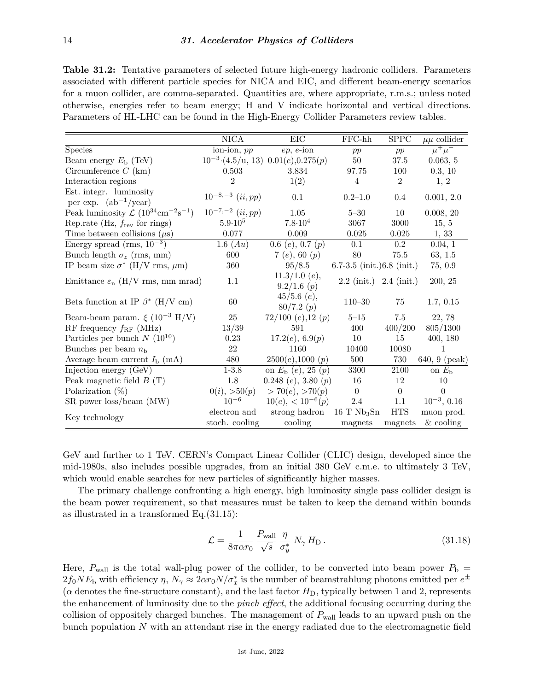**Table 31.2:** Tentative parameters of selected future high-energy hadronic colliders. Parameters associated with different particle species for NICA and EIC, and different beam-energy scenarios for a muon collider, are comma-separated. Quantities are, where appropriate, r.m.s.; unless noted otherwise, energies refer to beam energy; H and V indicate horizontal and vertical directions. Parameters of HL-LHC can be found in the High-Energy Collider Parameters review tables.

|                                                                                    | $\overline{\text{NICA}}$       | EIC                                        | $FFC-hh$                                         | SPPC                  | $\mu\mu$ collider         |
|------------------------------------------------------------------------------------|--------------------------------|--------------------------------------------|--------------------------------------------------|-----------------------|---------------------------|
| <b>Species</b>                                                                     | ion-ion, pp                    | $ep, e\text{-ion}$                         | pp                                               | pp                    | $\mu^+\mu^-$              |
| Beam energy $E_{\rm b}$ (TeV)                                                      |                                | $10^{-3}$ (4.5/u, 13) $0.01(e)$ , 0.275(p) | $50\,$                                           | $37.5\,$              | 0.063, 5                  |
| Circumference $C$ (km)                                                             | 0.503                          | 3.834                                      | 97.75                                            | 100                   | 0.3, 10                   |
| Interaction regions                                                                | $\overline{2}$                 | 1(2)                                       | 4                                                | $\overline{2}$        | 1, 2                      |
| Est. integr. luminosity<br>per exp. $(ab^{-1}/year)$                               | $10^{-8,-3}$ $(ii,pp)$         | 0.1                                        | $0.2 - 1.0$                                      | $0.4\,$               | 0.001, 2.0                |
| Peak luminosity $\mathcal{L}$ (10 <sup>34</sup> cm <sup>-2</sup> s <sup>-1</sup> ) | $10^{-7,-2}$ $(ii,pp)$         | 1.05                                       | $5 - 30$                                         | 10                    | 0.008, 20                 |
| Rep.rate (Hz, $f_{rev}$ for rings)                                                 | $5.9 \cdot 10^5$               | $7.8 \cdot 10^4$                           | 3067                                             | 3000                  | 15, 5                     |
| Time between collisions $(\mu s)$                                                  | $0.077\,$                      | $0.009\,$                                  | 0.025                                            | 0.025                 | 1, 33                     |
| Energy spread (rms, $10^{-3}$ )                                                    | 1.6 $(Au)$                     | $0.6\ (e),\ 0.7\ (p)$                      | 0.1                                              | $0.2\,$               | 0.04, 1                   |
| Bunch length $\sigma_z$ (rms, mm)                                                  | 600                            | 7 (e), 60 $(p)$                            | 80                                               | 75.5                  | 63, 1.5                   |
| IP beam size $\sigma^*$ (H/V rms, $\mu$ m)                                         | 360                            | 95/8.5                                     | $6.7-3.5$ (init.) $6.8$ (init.)                  |                       | 75, 0.9                   |
| Emittance $\varepsilon_n$ (H/V rms, mm mrad)                                       | 1.1                            | $11.3/1.0$ (e),<br>9.2/1.6(p)              | $2.2 \; (init.) \; 2.4 \; (init.)$               |                       | 200, 25                   |
| Beta function at IP $\beta^*$ (H/V cm)                                             | 60                             | $45/5.6$ (e),<br>80/7.2(p)                 | $110 - 30$                                       | 75                    | 1.7, 0.15                 |
| Beam-beam param. $\xi$ (10 <sup>-3</sup> H/V)                                      | 25                             | $72/100$ (e), 12 (p)                       | $5 - 15$                                         | 7.5                   | 22, 78                    |
| RF frequency $f_{\rm RF}$ (MHz)                                                    | 13/39                          | 591                                        | 400                                              | 400/200               | 805/1300                  |
| Particles per bunch $N(10^{10})$                                                   | 0.23                           | 17.2(e), 6.9(p)                            | 10                                               | 15                    | 400, 180                  |
| Bunches per beam $n_{\rm b}$                                                       | 22                             | 1160                                       | 10400                                            | 10080                 | $\mathbf{1}$              |
| Average beam current $I_{\rm b}$ (mA)                                              | 480                            | 2500(e), 1000(p)                           | 500                                              | 730                   | 640, 9 (peak)             |
| Injection energy (GeV)                                                             | $1 - 3.8$                      | on $E_{\rm b}$ (e), 25 (p)                 | 3300                                             | 2100                  | on $E_{\rm b}$            |
| Peak magnetic field $B(T)$                                                         | 1.8                            | 0.248 (e), 3.80 (p)                        | 16                                               | 12                    | 10                        |
| Polarization $(\%)$                                                                | 0(i), >50(p)                   | > 70(e), > 70(p)                           | $\Omega$                                         | $\theta$              | $\overline{0}$            |
| SR power loss/beam (MW)                                                            | $10^{-6}$                      | $10(e)$ , < $10^{-6}(p)$                   | $2.4\,$                                          | 1.1                   | $10^{-3}$ , 0.16          |
| Key technology                                                                     | electron and<br>stoch. cooling | strong hadron<br>cooling                   | $16$ T Nb <sub>3</sub> S <sub>n</sub><br>magnets | <b>HTS</b><br>magnets | muon prod.<br>$&$ cooling |

GeV and further to 1 TeV. CERN's Compact Linear Collider (CLIC) design, developed since the mid-1980s, also includes possible upgrades, from an initial 380 GeV c.m.e. to ultimately 3 TeV, which would enable searches for new particles of significantly higher masses.

The primary challenge confronting a high energy, high luminosity single pass collider design is the beam power requirement, so that measures must be taken to keep the demand within bounds as illustrated in a transformed Eq.(31.15):

$$
\mathcal{L} = \frac{1}{8\pi\alpha r_0} \frac{P_{\text{wall}}}{\sqrt{s}} \frac{\eta}{\sigma_y^*} N_\gamma H_{\text{D}}.
$$
\n(31.18)

Here,  $P_{wall}$  is the total wall-plug power of the collider, to be converted into beam power  $P_{b}$  =  $2f_0NE_b$  with efficiency  $\eta$ ,  $N_\gamma \approx 2\alpha r_0N/\sigma_x^*$  is the number of beamstrahlung photons emitted per  $e^\pm$  $(\alpha \text{ denotes the fine-structure constant})$ , and the last factor  $H_D$ , typically between 1 and 2, represents the enhancement of luminosity due to the *pinch effect*, the additional focusing occurring during the collision of oppositely charged bunches. The management of  $P_{\text{wall}}$  leads to an upward push on the bunch population *N* with an attendant rise in the energy radiated due to the electromagnetic field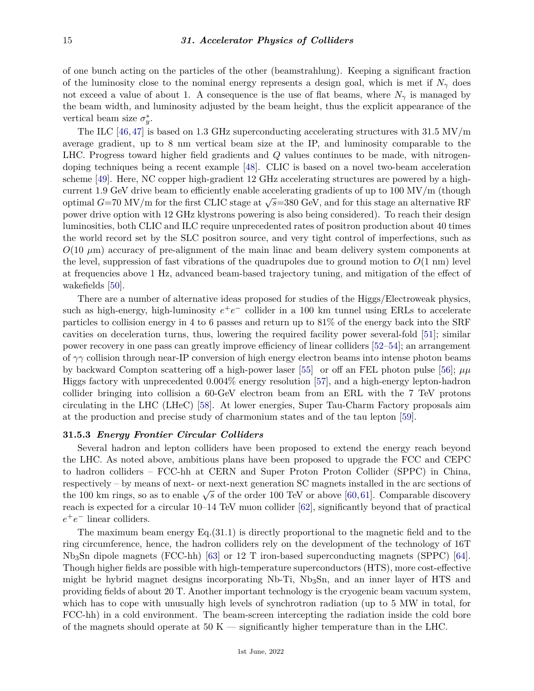of one bunch acting on the particles of the other (beamstrahlung). Keeping a significant fraction of the luminosity close to the nominal energy represents a design goal, which is met if  $N_{\gamma}$  does not exceed a value of about 1. A consequence is the use of flat beams, where  $N_{\gamma}$  is managed by the beam width, and luminosity adjusted by the beam height, thus the explicit appearance of the vertical beam size  $\sigma_y^*$ .

The ILC [\[46,](#page-18-18)[47\]](#page-18-19) is based on 1.3 GHz superconducting accelerating structures with  $31.5 \text{ MV/m}$ average gradient, up to 8 nm vertical beam size at the IP, and luminosity comparable to the LHC. Progress toward higher field gradients and *Q* values continues to be made, with nitrogendoping techniques being a recent example [\[48\]](#page-18-20). CLIC is based on a novel two-beam acceleration scheme [\[49\]](#page-18-21). Here, NC copper high-gradient 12 GHz accelerating structures are powered by a highcurrent 1.9 GeV drive beam to efficiently enable accelerating gradients of up to  $100 \text{ MV/m}$  (though optimal *G*=70 MV/m for the first CLIC stage at  $\sqrt{s}$ =380 GeV, and for this stage an alternative RF power drive option with 12 GHz klystrons powering is also being considered). To reach their design luminosities, both CLIC and ILC require unprecedented rates of positron production about 40 times the world record set by the SLC positron source, and very tight control of imperfections, such as  $O(10 \mu m)$  accuracy of pre-alignment of the main linac and beam delivery system components at the level, suppression of fast vibrations of the quadrupoles due to ground motion to *O*(1 nm) level at frequencies above 1 Hz, advanced beam-based trajectory tuning, and mitigation of the effect of wakefields [\[50\]](#page-18-22).

There are a number of alternative ideas proposed for studies of the Higgs/Electroweak physics, such as high-energy, high-luminosity  $e^+e^-$  collider in a 100 km tunnel using ERLs to accelerate particles to collision energy in 4 to 6 passes and return up to 81% of the energy back into the SRF cavities on deceleration turns, thus, lowering the required facility power several-fold [\[51\]](#page-18-23); similar power recovery in one pass can greatly improve efficiency of linear colliders [\[52–](#page-18-24)[54\]](#page-18-25); an arrangement of *γγ* collision through near-IP conversion of high energy electron beams into intense photon beams by backward Compton scattering off a high-power laser [\[55\]](#page-18-26) or off an FEL photon pulse [\[56\]](#page-19-0);  $\mu\mu$ Higgs factory with unprecedented 0.004% energy resolution [\[57\]](#page-19-1), and a high-energy lepton-hadron collider bringing into collision a 60-GeV electron beam from an ERL with the 7 TeV protons circulating in the LHC (LHeC) [\[58\]](#page-19-2). At lower energies, Super Tau-Charm Factory proposals aim at the production and precise study of charmonium states and of the tau lepton [\[59\]](#page-19-3).

### **31.5.3** *Energy Frontier Circular Colliders*

Several hadron and lepton colliders have been proposed to extend the energy reach beyond the LHC. As noted above, ambitious plans have been proposed to upgrade the FCC and CEPC to hadron colliders – FCC-hh at CERN and Super Proton Proton Collider (SPPC) in China, respectively – by means of next- or next-next generation SC magnets installed in the arc sections of the 100 km rings, so as to enable  $\sqrt{s}$  of the order 100 TeV or above [\[60,](#page-19-4)[61\]](#page-19-5). Comparable discovery reach is expected for a circular 10–14 TeV muon collider [\[62\]](#page-19-6), significantly beyond that of practical *e* +*e* <sup>−</sup> linear colliders.

The maximum beam energy  $Eq.(31.1)$  is directly proportional to the magnetic field and to the ring circumference, hence, the hadron colliders rely on the development of the technology of 16T Nb3Sn dipole magnets (FCC-hh) [\[63\]](#page-19-7) or 12 T iron-based superconducting magnets (SPPC) [\[64\]](#page-19-8). Though higher fields are possible with high-temperature superconductors (HTS), more cost-effective might be hybrid magnet designs incorporating Nb-Ti, Nb3Sn, and an inner layer of HTS and providing fields of about 20 T. Another important technology is the cryogenic beam vacuum system, which has to cope with unusually high levels of synchrotron radiation (up to 5 MW in total, for FCC-hh) in a cold environment. The beam-screen intercepting the radiation inside the cold bore of the magnets should operate at  $50 K$  — significantly higher temperature than in the LHC.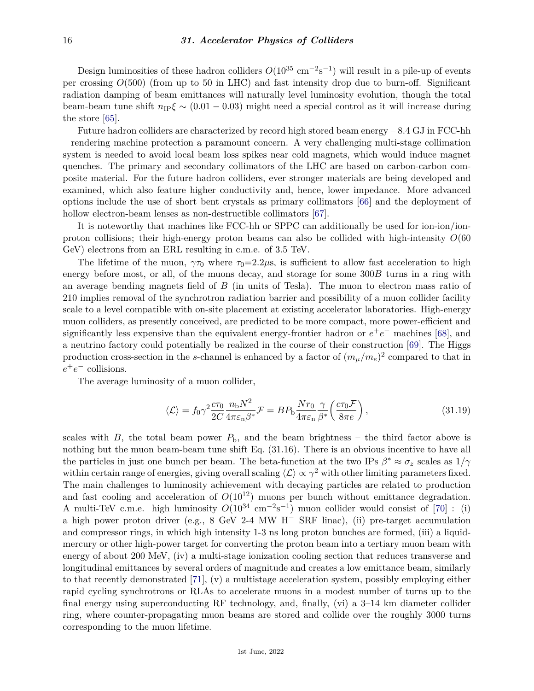Design luminosities of these hadron colliders  $O(10^{35} \text{ cm}^{-2} \text{s}^{-1})$  will result in a pile-up of events per crossing *O*(500) (from up to 50 in LHC) and fast intensity drop due to burn-off. Significant radiation damping of beam emittances will naturally level luminosity evolution, though the total beam-beam tune shift  $n_{\text{IP}}\xi \sim (0.01 - 0.03)$  might need a special control as it will increase during the store [\[65\]](#page-19-9).

Future hadron colliders are characterized by record high stored beam energy  $-8.4 \text{ GJ}$  in FCC-hh – rendering machine protection a paramount concern. A very challenging multi-stage collimation system is needed to avoid local beam loss spikes near cold magnets, which would induce magnet quenches. The primary and secondary collimators of the LHC are based on carbon-carbon composite material. For the future hadron colliders, ever stronger materials are being developed and examined, which also feature higher conductivity and, hence, lower impedance. More advanced options include the use of short bent crystals as primary collimators [\[66\]](#page-19-10) and the deployment of hollow electron-beam lenses as non-destructible collimators  $|67|$ .

It is noteworthy that machines like FCC-hh or SPPC can additionally be used for ion-ion/ionproton collisions; their high-energy proton beams can also be collided with high-intensity *O*(60 GeV) electrons from an ERL resulting in c.m.e. of 3.5 TeV.

The lifetime of the muon,  $\gamma \tau_0$  where  $\tau_0 = 2.2 \mu s$ , is sufficient to allow fast acceleration to high energy before most, or all, of the muons decay, and storage for some 300*B* turns in a ring with an average bending magnets field of *B* (in units of Tesla). The muon to electron mass ratio of 210 implies removal of the synchrotron radiation barrier and possibility of a muon collider facility scale to a level compatible with on-site placement at existing accelerator laboratories. High-energy muon colliders, as presently conceived, are predicted to be more compact, more power-efficient and significantly less expensive than the equivalent energy-frontier hadron or  $e^+e^-$  machines [\[68\]](#page-19-12), and a neutrino factory could potentially be realized in the course of their construction [\[69\]](#page-19-13). The Higgs production cross-section in the *s*-channel is enhanced by a factor of  $(m_{\mu}/m_e)^2$  compared to that in *e* +*e* <sup>−</sup> collisions.

The average luminosity of a muon collider,

$$
\langle \mathcal{L} \rangle = f_0 \gamma^2 \frac{c \tau_0}{2C} \frac{n_{\rm b} N^2}{4 \pi \epsilon_{\rm n} \beta^*} \mathcal{F} = B P_{\rm b} \frac{N r_0}{4 \pi \epsilon_{\rm n}} \frac{\gamma}{\beta^*} \left( \frac{c \tau_0 \mathcal{F}}{8 \pi e} \right), \tag{31.19}
$$

scales with *B*, the total beam power  $P_b$ , and the beam brightness – the third factor above is nothing but the muon beam-beam tune shift Eq. (31.16). There is an obvious incentive to have all the particles in just one bunch per beam. The beta-function at the two IPs  $\beta^* \approx \sigma_z$  scales as  $1/\gamma$ within certain range of energies, giving overall scaling  $\langle L \rangle \propto \gamma^2$  with other limiting parameters fixed. The main challenges to luminosity achievement with decaying particles are related to production and fast cooling and acceleration of  $O(10^{12})$  muons per bunch without emittance degradation. A multi-TeV c.m.e. high luminosity  $O(10^{34} \text{ cm}^{-2} \text{s}^{-1})$  muon collider would consist of [\[70\]](#page-19-14): (i) a high power proton driver (e.g., 8 GeV 2-4 MW H<sup>−</sup> SRF linac), (ii) pre-target accumulation and compressor rings, in which high intensity 1-3 ns long proton bunches are formed, (iii) a liquidmercury or other high-power target for converting the proton beam into a tertiary muon beam with energy of about 200 MeV, (iv) a multi-stage ionization cooling section that reduces transverse and longitudinal emittances by several orders of magnitude and creates a low emittance beam, similarly to that recently demonstrated [\[71\]](#page-19-15), (v) a multistage acceleration system, possibly employing either rapid cycling synchrotrons or RLAs to accelerate muons in a modest number of turns up to the final energy using superconducting RF technology, and, finally, (vi) a 3–14 km diameter collider ring, where counter-propagating muon beams are stored and collide over the roughly 3000 turns corresponding to the muon lifetime.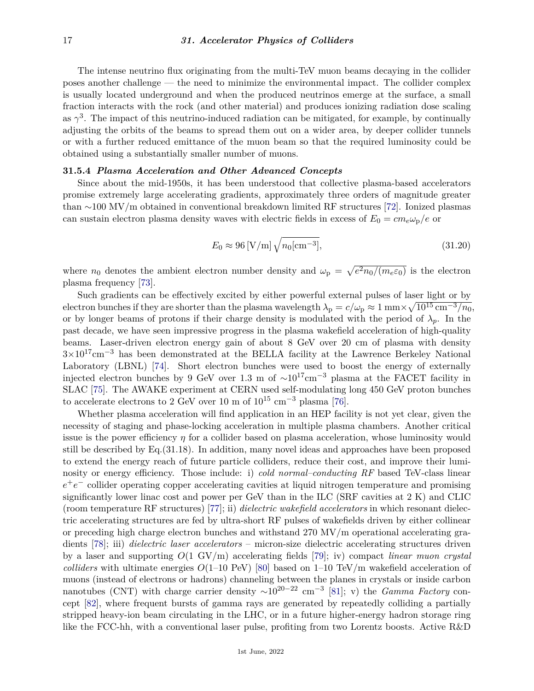The intense neutrino flux originating from the multi-TeV muon beams decaying in the collider poses another challenge — the need to minimize the environmental impact. The collider complex is usually located underground and when the produced neutrinos emerge at the surface, a small fraction interacts with the rock (and other material) and produces ionizing radiation dose scaling as  $\gamma^3$ . The impact of this neutrino-induced radiation can be mitigated, for example, by continually adjusting the orbits of the beams to spread them out on a wider area, by deeper collider tunnels or with a further reduced emittance of the muon beam so that the required luminosity could be obtained using a substantially smaller number of muons.

### **31.5.4** *Plasma Acceleration and Other Advanced Concepts*

Since about the mid-1950s, it has been understood that collective plasma-based accelerators promise extremely large accelerating gradients, approximately three orders of magnitude greater than ∼100 MV/m obtained in conventional breakdown limited RF structures [\[72\]](#page-19-16). Ionized plasmas can sustain electron plasma density waves with electric fields in excess of  $E_0 = cm_e \omega_p/e$  or

$$
E_0 \approx 96 \,\mathrm{[V/m]} \sqrt{n_0 \,\mathrm{[cm^{-3}]}},\tag{31.20}
$$

where  $n_0$  denotes the ambient electron number density and  $\omega_p = \sqrt{e^2 n_0/(m_e \varepsilon_0)}$  is the electron plasma frequency [\[73\]](#page-19-17).

Such gradients can be effectively excited by either powerful external pulses of laser light or by  $\alpha$  electron bunches if they are shorter than the plasma wavelength  $\lambda_{\rm p}=c/\omega_{\rm p}\approx 1\, {\rm mm}\times \sqrt{10^{15}\,{\rm cm}^{-3}/n_0},$ or by longer beams of protons if their charge density is modulated with the period of  $\lambda_p$ . In the past decade, we have seen impressive progress in the plasma wakefield acceleration of high-quality beams. Laser-driven electron energy gain of about 8 GeV over 20 cm of plasma with density 3×1017cm−<sup>3</sup> has been demonstrated at the BELLA facility at the Lawrence Berkeley National Laboratory (LBNL) [\[74\]](#page-19-18). Short electron bunches were used to boost the energy of externally injected electron bunches by 9 GeV over 1.3 m of  $\sim 10^{17}$ cm<sup>-3</sup> plasma at the FACET facility in SLAC [\[75\]](#page-19-19). The AWAKE experiment at CERN used self-modulating long 450 GeV proton bunches to accelerate electrons to 2 GeV over 10 m of  $10^{15}$  cm<sup>-3</sup> plasma [\[76\]](#page-19-20).

Whether plasma acceleration will find application in an HEP facility is not yet clear, given the necessity of staging and phase-locking acceleration in multiple plasma chambers. Another critical issue is the power efficiency  $\eta$  for a collider based on plasma acceleration, whose luminosity would still be described by Eq.(31.18). In addition, many novel ideas and approaches have been proposed to extend the energy reach of future particle colliders, reduce their cost, and improve their luminosity or energy efficiency. Those include: i) *cold normal–conducting RF* based TeV-class linear *e*<sup>+</sup>*e*<sup>−</sup> collider operating copper accelerating cavities at liquid nitrogen temperature and promising significantly lower linac cost and power per GeV than in the ILC (SRF cavities at 2 K) and CLIC (room temperature RF structures) [\[77\]](#page-19-21); ii) *dielectric wakefield accelerators* in which resonant dielectric accelerating structures are fed by ultra-short RF pulses of wakefields driven by either collinear or preceding high charge electron bunches and withstand 270 MV/m operational accelerating gradients [\[78\]](#page-19-22); iii) *dielectric laser accelerators* – micron-size dielectric accelerating structures driven by a laser and supporting *O*(1 GV/m) accelerating fields [\[79\]](#page-19-23); iv) compact *linear muon crystal colliders* with ultimate energies  $O(1-10 \text{ PeV})$  [\[80\]](#page-19-24) based on 1–10 TeV/m wakefield acceleration of muons (instead of electrons or hadrons) channeling between the planes in crystals or inside carbon nanotubes (CNT) with charge carrier density  $\sim 10^{20-22}$  cm<sup>-3</sup> [\[81\]](#page-19-25); v) the *Gamma Factory* concept [\[82\]](#page-19-26), where frequent bursts of gamma rays are generated by repeatedly colliding a partially stripped heavy-ion beam circulating in the LHC, or in a future higher-energy hadron storage ring like the FCC-hh, with a conventional laser pulse, profiting from two Lorentz boosts. Active R&D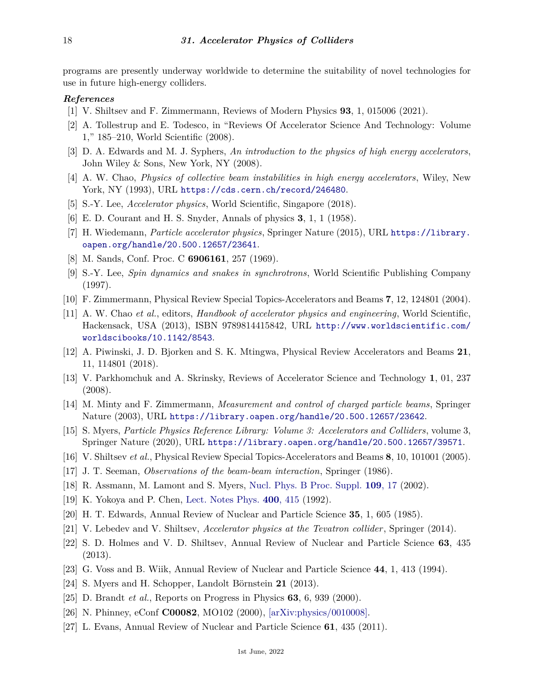programs are presently underway worldwide to determine the suitability of novel technologies for use in future high-energy colliders.

### <span id="page-17-0"></span>*References*

- [1] V. Shiltsev and F. Zimmermann, Reviews of Modern Physics **93**, 1, 015006 (2021).
- <span id="page-17-1"></span>[2] A. Tollestrup and E. Todesco, in "Reviews Of Accelerator Science And Technology: Volume 1," 185–210, World Scientific (2008).
- <span id="page-17-2"></span>[3] D. A. Edwards and M. J. Syphers, *An introduction to the physics of high energy accelerators*, John Wiley & Sons, New York, NY (2008).
- <span id="page-17-8"></span>[4] A. W. Chao, *Physics of collective beam instabilities in high energy accelerators*, Wiley, New York, NY (1993), URL <https://cds.cern.ch/record/246480>.
- <span id="page-17-3"></span>[5] S.-Y. Lee, *Accelerator physics*, World Scientific, Singapore (2018).
- <span id="page-17-4"></span>[6] E. D. Courant and H. S. Snyder, Annals of physics **3**, 1, 1 (1958).
- <span id="page-17-5"></span>[7] H. Wiedemann, *Particle accelerator physics*, Springer Nature (2015), URL [https://library.](https://library.oapen.org/handle/20.500.12657/23641) [oapen.org/handle/20.500.12657/23641](https://library.oapen.org/handle/20.500.12657/23641).
- <span id="page-17-6"></span>[8] M. Sands, Conf. Proc. C **6906161**, 257 (1969).
- <span id="page-17-7"></span>[9] S.-Y. Lee, *Spin dynamics and snakes in synchrotrons*, World Scientific Publishing Company (1997).
- <span id="page-17-9"></span>[10] F. Zimmermann, Physical Review Special Topics-Accelerators and Beams **7**, 12, 124801 (2004).
- <span id="page-17-10"></span>[11] A. W. Chao *et al.*, editors, *Handbook of accelerator physics and engineering*, World Scientific, Hackensack, USA (2013), ISBN 9789814415842, URL [http://www.worldscientific.com/](http://www.worldscientific.com/worldscibooks/10.1142/8543) [worldscibooks/10.1142/8543](http://www.worldscientific.com/worldscibooks/10.1142/8543).
- <span id="page-17-11"></span>[12] A. Piwinski, J. D. Bjorken and S. K. Mtingwa, Physical Review Accelerators and Beams **21**, 11, 114801 (2018).
- <span id="page-17-12"></span>[13] V. Parkhomchuk and A. Skrinsky, Reviews of Accelerator Science and Technology **1**, 01, 237 (2008).
- <span id="page-17-13"></span>[14] M. Minty and F. Zimmermann, *Measurement and control of charged particle beams*, Springer Nature (2003), URL <https://library.oapen.org/handle/20.500.12657/23642>.
- <span id="page-17-14"></span>[15] S. Myers, *Particle Physics Reference Library: Volume 3: Accelerators and Colliders*, volume 3, Springer Nature (2020), URL <https://library.oapen.org/handle/20.500.12657/39571>.
- <span id="page-17-16"></span><span id="page-17-15"></span>[16] V. Shiltsev *et al.*, Physical Review Special Topics-Accelerators and Beams **8**, 10, 101001 (2005).
- [17] J. T. Seeman, *Observations of the beam-beam interaction*, Springer (1986).
- <span id="page-17-18"></span><span id="page-17-17"></span>[18] R. Assmann, M. Lamont and S. Myers, [Nucl. Phys. B Proc. Suppl.](http://doi.org/10.1016/S0920-5632(02)90005-8) **[109](http://doi.org/10.1016/S0920-5632(02)90005-8)**, 17 (2002).
- [19] K. Yokoya and P. Chen, [Lect. Notes Phys.](http://doi.org/10.1007/3-540-55250-2_37) **400**[, 415](http://doi.org/10.1007/3-540-55250-2_37) (1992).
- <span id="page-17-20"></span><span id="page-17-19"></span>[20] H. T. Edwards, Annual Review of Nuclear and Particle Science **35**, 1, 605 (1985).
- [21] V. Lebedev and V. Shiltsev, *Accelerator physics at the Tevatron collider* , Springer (2014).
- <span id="page-17-21"></span>[22] S. D. Holmes and V. D. Shiltsev, Annual Review of Nuclear and Particle Science **63**, 435 (2013).
- <span id="page-17-23"></span><span id="page-17-22"></span>[23] G. Voss and B. Wiik, Annual Review of Nuclear and Particle Science **44**, 1, 413 (1994).
- [24] S. Myers and H. Schopper, Landolt Börnstein **21** (2013).
- <span id="page-17-24"></span>[25] D. Brandt *et al.*, Reports on Progress in Physics **63**, 6, 939 (2000).
- <span id="page-17-25"></span>[26] N. Phinney, eConf **C00082**, MO102 (2000), [\[arXiv:physics/0010008\].](https://arxiv.org/abs/physics/0010008)
- <span id="page-17-26"></span>[27] L. Evans, Annual Review of Nuclear and Particle Science **61**, 435 (2011).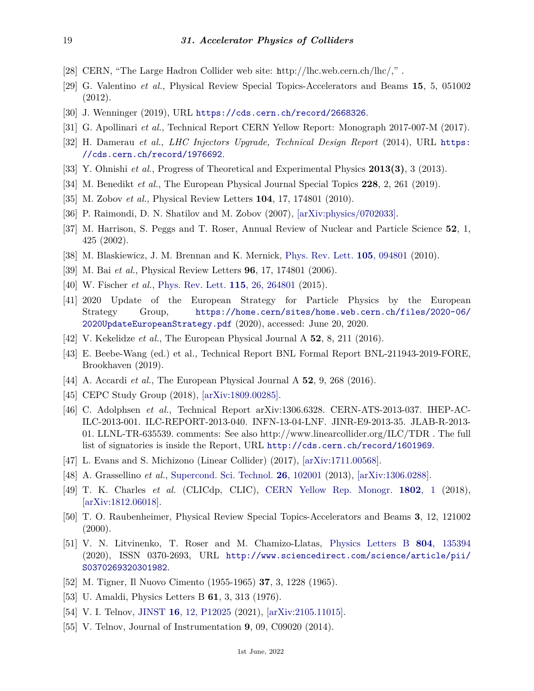- <span id="page-18-0"></span>[28] CERN, "The Large Hadron Collider web site: http://lhc.web.cern.ch/lhc/," .
- <span id="page-18-1"></span>[29] G. Valentino *et al.*, Physical Review Special Topics-Accelerators and Beams **15**, 5, 051002 (2012).
- <span id="page-18-3"></span><span id="page-18-2"></span>[30] J. Wenninger (2019), URL <https://cds.cern.ch/record/2668326>.
- [31] G. Apollinari *et al.*, Technical Report CERN Yellow Report: Monograph 2017-007-M (2017).
- <span id="page-18-4"></span>[32] H. Damerau *et al.*, *LHC Injectors Upgrade, Technical Design Report* (2014), URL [https:](https://cds.cern.ch/record/1976692) [//cds.cern.ch/record/1976692](https://cds.cern.ch/record/1976692).
- <span id="page-18-5"></span>[33] Y. Ohnishi *et al.*, Progress of Theoretical and Experimental Physics **2013(3)**, 3 (2013).
- <span id="page-18-6"></span>[34] M. Benedikt *et al.*, The European Physical Journal Special Topics **228**, 2, 261 (2019).
- <span id="page-18-7"></span>[35] M. Zobov *et al.*, Physical Review Letters **104**, 17, 174801 (2010).
- <span id="page-18-8"></span>[36] P. Raimondi, D. N. Shatilov and M. Zobov (2007), [\[arXiv:physics/0702033\].](https://arxiv.org/abs/physics/0702033)
- <span id="page-18-9"></span>[37] M. Harrison, S. Peggs and T. Roser, Annual Review of Nuclear and Particle Science **52**, 1, 425 (2002).
- <span id="page-18-10"></span>[38] M. Blaskiewicz, J. M. Brennan and K. Mernick, [Phys. Rev. Lett.](http://doi.org/10.1103/PhysRevLett.105.094801) **105**[, 094801](http://doi.org/10.1103/PhysRevLett.105.094801) (2010).
- <span id="page-18-11"></span>[39] M. Bai *et al.*, Physical Review Letters **96**, 17, 174801 (2006).
- <span id="page-18-12"></span>[40] W. Fischer *et al.*, [Phys. Rev. Lett.](http://doi.org/10.1103/PhysRevLett.115.264801) **115**[, 26, 264801](http://doi.org/10.1103/PhysRevLett.115.264801) (2015).
- <span id="page-18-13"></span>[41] 2020 Update of the European Strategy for Particle Physics by the European Strategy Group, [https://home.cern/sites/home.web.cern.ch/files/2020-06/](https://home.cern/sites/home.web.cern.ch/files/2020-06/2020 Update European Strategy.pdf) [2020UpdateEuropeanStrategy.pdf](https://home.cern/sites/home.web.cern.ch/files/2020-06/2020 Update European Strategy.pdf) (2020), accessed: June 20, 2020.
- <span id="page-18-14"></span>[42] V. Kekelidze *et al.*, The European Physical Journal A **52**, 8, 211 (2016).
- <span id="page-18-15"></span>[43] E. Beebe-Wang (ed.) et al., Technical Report BNL Formal Report BNL-211943-2019-FORE, Brookhaven (2019).
- <span id="page-18-16"></span>[44] A. Accardi *et al.*, The European Physical Journal A **52**, 9, 268 (2016).
- <span id="page-18-17"></span>[45] CEPC Study Group (2018), [\[arXiv:1809.00285\].](https://arxiv.org/abs/1809.00285)
- <span id="page-18-18"></span>[46] C. Adolphsen *et al.*, Technical Report arXiv:1306.6328. CERN-ATS-2013-037. IHEP-AC-ILC-2013-001. ILC-REPORT-2013-040. INFN-13-04-LNF. JINR-E9-2013-35. JLAB-R-2013- 01. LLNL-TR-635539. comments: See also http://www.linearcollider.org/ILC/TDR . The full list of signatories is inside the Report, URL <http://cds.cern.ch/record/1601969>.
- <span id="page-18-19"></span>[47] L. Evans and S. Michizono (Linear Collider) (2017), [\[arXiv:1711.00568\].](https://arxiv.org/abs/1711.00568)
- <span id="page-18-20"></span>[48] A. Grassellino *et al.*, [Supercond. Sci. Technol.](http://doi.org/10.1088/0953-2048/26/10/102001) **26**[, 102001](http://doi.org/10.1088/0953-2048/26/10/102001) (2013), [\[arXiv:1306.0288\].](https://arxiv.org/abs/1306.0288)
- <span id="page-18-21"></span>[49] T. K. Charles *et al.* (CLICdp, CLIC), [CERN Yellow Rep. Monogr.](http://doi.org/10.23731/CYRM-2018-002) **[1802](http://doi.org/10.23731/CYRM-2018-002)**, 1 (2018), [\[arXiv:1812.06018\].](https://arxiv.org/abs/1812.06018)
- <span id="page-18-22"></span>[50] T. O. Raubenheimer, Physical Review Special Topics-Accelerators and Beams **3**, 12, 121002  $(2000).$
- <span id="page-18-23"></span>[51] V. N. Litvinenko, T. Roser and M. Chamizo-Llatas, [Physics Letters B](http://doi.org/https://doi.org/10.1016/j.physletb.2020.135394) **804**[, 135394](http://doi.org/https://doi.org/10.1016/j.physletb.2020.135394) (2020), ISSN 0370-2693, URL [http://www.sciencedirect.com/science/article/pii/](http://www.sciencedirect.com/science/article/pii/S0370269320301982) [S0370269320301982](http://www.sciencedirect.com/science/article/pii/S0370269320301982).
- <span id="page-18-24"></span>[52] M. Tigner, Il Nuovo Cimento (1955-1965) **37**, 3, 1228 (1965).
- [53] U. Amaldi, Physics Letters B **61**, 3, 313 (1976).
- <span id="page-18-26"></span><span id="page-18-25"></span>[54] V. I. Telnov, [JINST](http://doi.org/10.1088/1748-0221/16/12/P12025) **16**[, 12, P12025](http://doi.org/10.1088/1748-0221/16/12/P12025) (2021), [\[arXiv:2105.11015\].](https://arxiv.org/abs/2105.11015)
- [55] V. Telnov, Journal of Instrumentation **9**, 09, C09020 (2014).